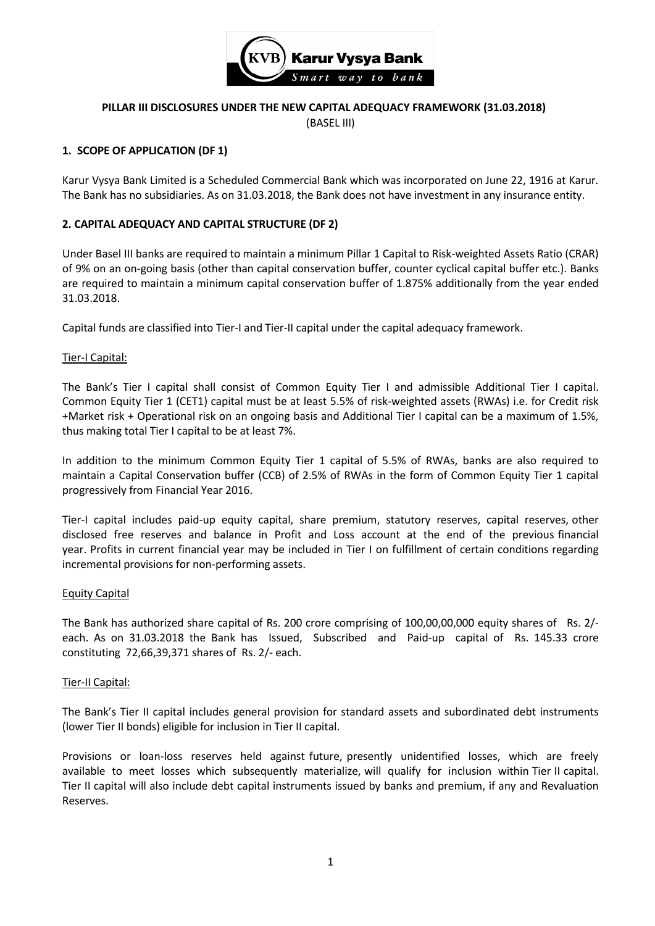

## **PILLAR III DISCLOSURES UNDER THE NEW CAPITAL ADEQUACY FRAMEWORK (31.03.2018)** (BASEL III)

## **1. SCOPE OF APPLICATION (DF 1)**

Karur Vysya Bank Limited is a Scheduled Commercial Bank which was incorporated on June 22, 1916 at Karur. The Bank has no subsidiaries. As on 31.03.2018, the Bank does not have investment in any insurance entity.

## **2. CAPITAL ADEQUACY AND CAPITAL STRUCTURE (DF 2)**

Under Basel III banks are required to maintain a minimum Pillar 1 Capital to Risk-weighted Assets Ratio (CRAR) of 9% on an on-going basis (other than capital conservation buffer, counter cyclical capital buffer etc.). Banks are required to maintain a minimum capital conservation buffer of 1.875% additionally from the year ended 31.03.2018.

Capital funds are classified into Tier-I and Tier-II capital under the capital adequacy framework.

#### Tier-I Capital:

The Bank's Tier I capital shall consist of Common Equity Tier I and admissible Additional Tier I capital. Common Equity Tier 1 (CET1) capital must be at least 5.5% of risk-weighted assets (RWAs) i.e. for Credit risk +Market risk + Operational risk on an ongoing basis and Additional Tier I capital can be a maximum of 1.5%, thus making total Tier I capital to be at least 7%.

In addition to the minimum Common Equity Tier 1 capital of 5.5% of RWAs, banks are also required to maintain a Capital Conservation buffer (CCB) of 2.5% of RWAs in the form of Common Equity Tier 1 capital progressively from Financial Year 2016.

Tier-I capital includes paid-up equity capital, share premium, statutory reserves, capital reserves, other disclosed free reserves and balance in Profit and Loss account at the end of the previous financial year. Profits in current financial year may be included in Tier I on fulfillment of certain conditions regarding incremental provisions for non-performing assets.

#### Equity Capital

The Bank has authorized share capital of Rs. 200 crore comprising of 100,00,00,000 equity shares of Rs. 2/ each. As on 31.03.2018 the Bank has Issued, Subscribed and Paid-up capital of Rs. 145.33 crore constituting 72,66,39,371 shares of Rs. 2/- each.

## Tier-II Capital:

The Bank's Tier II capital includes general provision for standard assets and subordinated debt instruments (lower Tier II bonds) eligible for inclusion in Tier II capital.

Provisions or loan-loss reserves held against future, presently unidentified losses, which are freely available to meet losses which subsequently materialize, will qualify for inclusion within Tier II capital. Tier II capital will also include debt capital instruments issued by banks and premium, if any and Revaluation Reserves.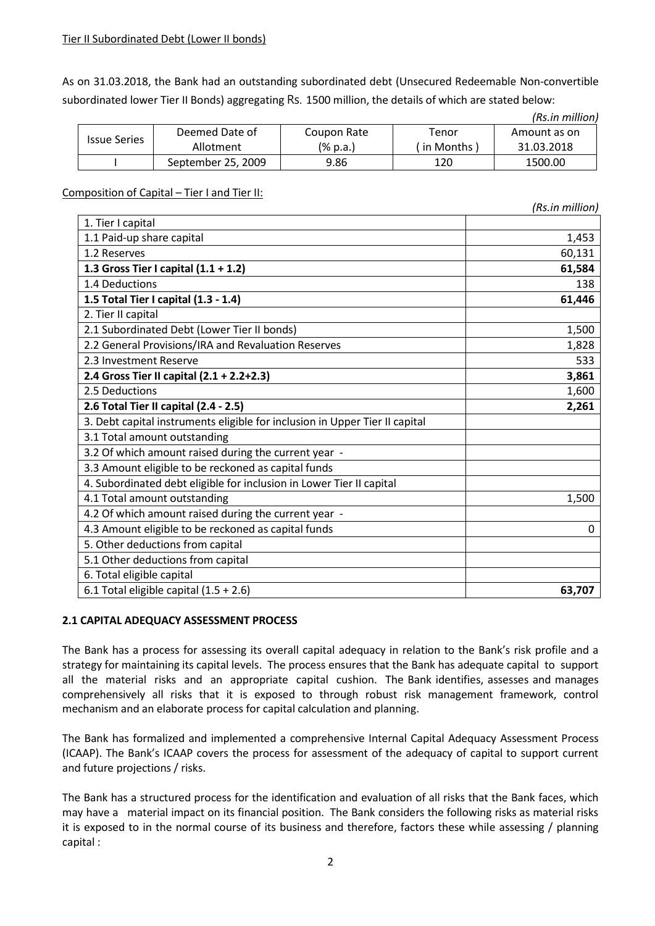As on 31.03.2018, the Bank had an outstanding subordinated debt (Unsecured Redeemable Non-convertible subordinated lower Tier II Bonds) aggregating Rs. 1500 million, the details of which are stated below:

|                     |                    |             |           | (Rs.in million) |
|---------------------|--------------------|-------------|-----------|-----------------|
| <b>Issue Series</b> | Deemed Date of     | Coupon Rate | Tenor     | Amount as on    |
|                     | Allotment          | (% p.a.)    | in Months | 31.03.2018      |
|                     | September 25, 2009 | 9.86        | 120       | 1500.00         |

## Composition of Capital – Tier I and Tier II:

|                                                                             | (Rs.in million) |
|-----------------------------------------------------------------------------|-----------------|
| 1. Tier I capital                                                           |                 |
| 1.1 Paid-up share capital                                                   | 1,453           |
| 1.2 Reserves                                                                | 60,131          |
| 1.3 Gross Tier I capital $(1.1 + 1.2)$                                      | 61,584          |
| 1.4 Deductions                                                              | 138             |
| 1.5 Total Tier I capital (1.3 - 1.4)                                        | 61,446          |
| 2. Tier II capital                                                          |                 |
| 2.1 Subordinated Debt (Lower Tier II bonds)                                 | 1,500           |
| 2.2 General Provisions/IRA and Revaluation Reserves                         | 1,828           |
| 2.3 Investment Reserve                                                      | 533             |
| 2.4 Gross Tier II capital (2.1 + 2.2+2.3)                                   | 3,861           |
| 2.5 Deductions                                                              | 1,600           |
| 2.6 Total Tier II capital (2.4 - 2.5)                                       | 2,261           |
| 3. Debt capital instruments eligible for inclusion in Upper Tier II capital |                 |
| 3.1 Total amount outstanding                                                |                 |
| 3.2 Of which amount raised during the current year -                        |                 |
| 3.3 Amount eligible to be reckoned as capital funds                         |                 |
| 4. Subordinated debt eligible for inclusion in Lower Tier II capital        |                 |
| 4.1 Total amount outstanding                                                | 1,500           |
| 4.2 Of which amount raised during the current year -                        |                 |
| 4.3 Amount eligible to be reckoned as capital funds                         | 0               |
| 5. Other deductions from capital                                            |                 |
| 5.1 Other deductions from capital                                           |                 |
| 6. Total eligible capital                                                   |                 |
| 6.1 Total eligible capital $(1.5 + 2.6)$                                    | 63,707          |

## **2.1 CAPITAL ADEQUACY ASSESSMENT PROCESS**

The Bank has a process for assessing its overall capital adequacy in relation to the Bank's risk profile and a strategy for maintaining its capital levels. The process ensures that the Bank has adequate capital to support all the material risks and an appropriate capital cushion. The Bank identifies, assesses and manages comprehensively all risks that it is exposed to through robust risk management framework, control mechanism and an elaborate process for capital calculation and planning.

The Bank has formalized and implemented a comprehensive Internal Capital Adequacy Assessment Process (ICAAP). The Bank's ICAAP covers the process for assessment of the adequacy of capital to support current and future projections / risks.

The Bank has a structured process for the identification and evaluation of all risks that the Bank faces, which may have a material impact on its financial position. The Bank considers the following risks as material risks it is exposed to in the normal course of its business and therefore, factors these while assessing / planning capital :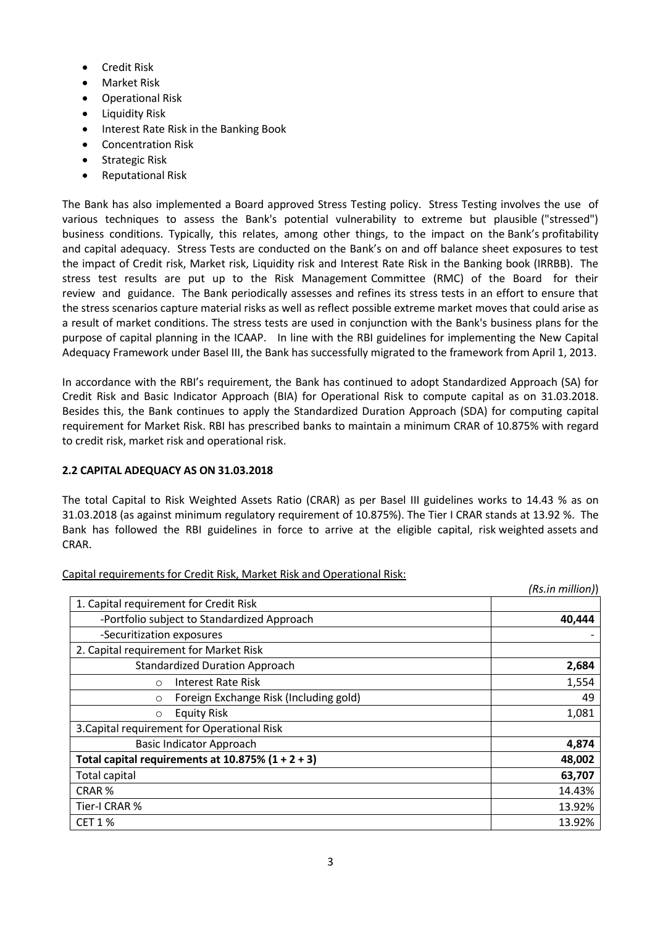- **•** Credit Risk
- Market Risk
- Operational Risk
- Liquidity Risk
- Interest Rate Risk in the Banking Book
- Concentration Risk
- Strategic Risk
- Reputational Risk

The Bank has also implemented a Board approved Stress Testing policy. Stress Testing involves the use of various techniques to assess the Bank's potential vulnerability to extreme but plausible ("stressed") business conditions. Typically, this relates, among other things, to the impact on the Bank's profitability and capital adequacy. Stress Tests are conducted on the Bank's on and off balance sheet exposures to test the impact of Credit risk, Market risk, Liquidity risk and Interest Rate Risk in the Banking book (IRRBB). The stress test results are put up to the Risk Management Committee (RMC) of the Board for their review and guidance. The Bank periodically assesses and refines its stress tests in an effort to ensure that the stress scenarios capture material risks as well as reflect possible extreme market moves that could arise as a result of market conditions. The stress tests are used in conjunction with the Bank's business plans for the purpose of capital planning in the ICAAP. In line with the RBI guidelines for implementing the New Capital Adequacy Framework under Basel III, the Bank has successfully migrated to the framework from April 1, 2013.

In accordance with the RBI's requirement, the Bank has continued to adopt Standardized Approach (SA) for Credit Risk and Basic Indicator Approach (BIA) for Operational Risk to compute capital as on 31.03.2018. Besides this, the Bank continues to apply the Standardized Duration Approach (SDA) for computing capital requirement for Market Risk. RBI has prescribed banks to maintain a minimum CRAR of 10.875% with regard to credit risk, market risk and operational risk.

## **2.2 CAPITAL ADEQUACY AS ON 31.03.2018**

The total Capital to Risk Weighted Assets Ratio (CRAR) as per Basel III guidelines works to 14.43 % as on 31.03.2018 (as against minimum regulatory requirement of 10.875%). The Tier I CRAR stands at 13.92 %. The Bank has followed the RBI guidelines in force to arrive at the eligible capital, risk weighted assets and CRAR.

|                                                      | (Rs.in million)) |
|------------------------------------------------------|------------------|
| 1. Capital requirement for Credit Risk               |                  |
| -Portfolio subject to Standardized Approach          | 40,444           |
| -Securitization exposures                            |                  |
| 2. Capital requirement for Market Risk               |                  |
| <b>Standardized Duration Approach</b>                | 2,684            |
| Interest Rate Risk<br>$\circ$                        | 1,554            |
| Foreign Exchange Risk (Including gold)<br>$\circ$    | 49               |
| <b>Equity Risk</b><br>$\circ$                        | 1,081            |
| 3. Capital requirement for Operational Risk          |                  |
| <b>Basic Indicator Approach</b>                      | 4,874            |
| Total capital requirements at $10.875\%$ (1 + 2 + 3) | 48,002           |
| Total capital                                        | 63,707           |
| CRAR <sup>%</sup>                                    | 14.43%           |
| Tier-I CRAR %                                        | 13.92%           |
| <b>CET 1 %</b>                                       | 13.92%           |

Capital requirements for Credit Risk, Market Risk and Operational Risk: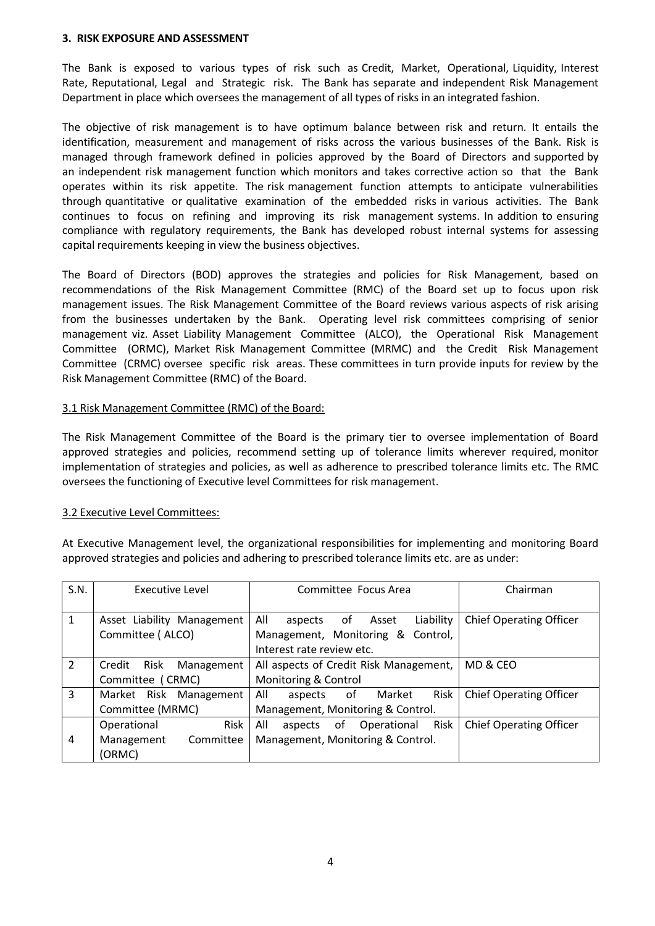### **3. RISK EXPOSURE AND ASSESSMENT**

The Bank is exposed to various types of risk such as Credit, Market, Operational, Liquidity, Interest Rate, Reputational, Legal and Strategic risk. The Bank has separate and independent Risk Management Department in place which oversees the management of all types of risks in an integrated fashion.

The objective of risk management is to have optimum balance between risk and return. It entails the identification, measurement and management of risks across the various businesses of the Bank. Risk is managed through framework defined in policies approved by the Board of Directors and supported by an independent risk management function which monitors and takes corrective action so that the Bank operates within its risk appetite. The risk management function attempts to anticipate vulnerabilities through quantitative or qualitative examination of the embedded risks in various activities. The Bank continues to focus on refining and improving its risk management systems. In addition to ensuring compliance with regulatory requirements, the Bank has developed robust internal systems for assessing capital requirements keeping in view the business objectives.

The Board of Directors (BOD) approves the strategies and policies for Risk Management, based on recommendations of the Risk Management Committee (RMC) of the Board set up to focus upon risk management issues. The Risk Management Committee of the Board reviews various aspects of risk arising from the businesses undertaken by the Bank. Operating level risk committees comprising of senior management viz. Asset Liability Management Committee (ALCO), the Operational Risk Management Committee (ORMC), Market Risk Management Committee (MRMC) and the Credit Risk Management Committee (CRMC) oversee specific risk areas. These committees in turn provide inputs for review by the Risk Management Committee (RMC) of the Board.

## 3.1 Risk Management Committee (RMC) of the Board:

The Risk Management Committee of the Board is the primary tier to oversee implementation of Board approved strategies and policies, recommend setting up of tolerance limits wherever required, monitor implementation of strategies and policies, as well as adherence to prescribed tolerance limits etc. The RMC oversees the functioning of Executive level Committees for risk management.

## 3.2 Executive Level Committees:

At Executive Management level, the organizational responsibilities for implementing and monitoring Board approved strategies and policies and adhering to prescribed tolerance limits etc. are as under:

| S.N.           | Executive Level              | Committee Focus Area                       | Chairman                       |
|----------------|------------------------------|--------------------------------------------|--------------------------------|
|                |                              |                                            |                                |
| 1              | Asset Liability Management   | All<br>Liability<br>Asset<br>of<br>aspects | <b>Chief Operating Officer</b> |
|                | Committee (ALCO)             | Management, Monitoring & Control,          |                                |
|                |                              | Interest rate review etc.                  |                                |
| $\overline{2}$ | Risk<br>Management<br>Credit | All aspects of Credit Risk Management,     | MD & CEO                       |
|                | Committee (CRMC)             | Monitoring & Control                       |                                |
| 3              | Market Risk Management       | All<br>Risk<br>of<br>Market<br>aspects     | <b>Chief Operating Officer</b> |
|                | Committee (MRMC)             | Management, Monitoring & Control.          |                                |
|                | Risk<br>Operational          | Risk<br>All<br>aspects of Operational      | <b>Chief Operating Officer</b> |
| 4              | Management<br>Committee      | Management, Monitoring & Control.          |                                |
|                | (ORMC)                       |                                            |                                |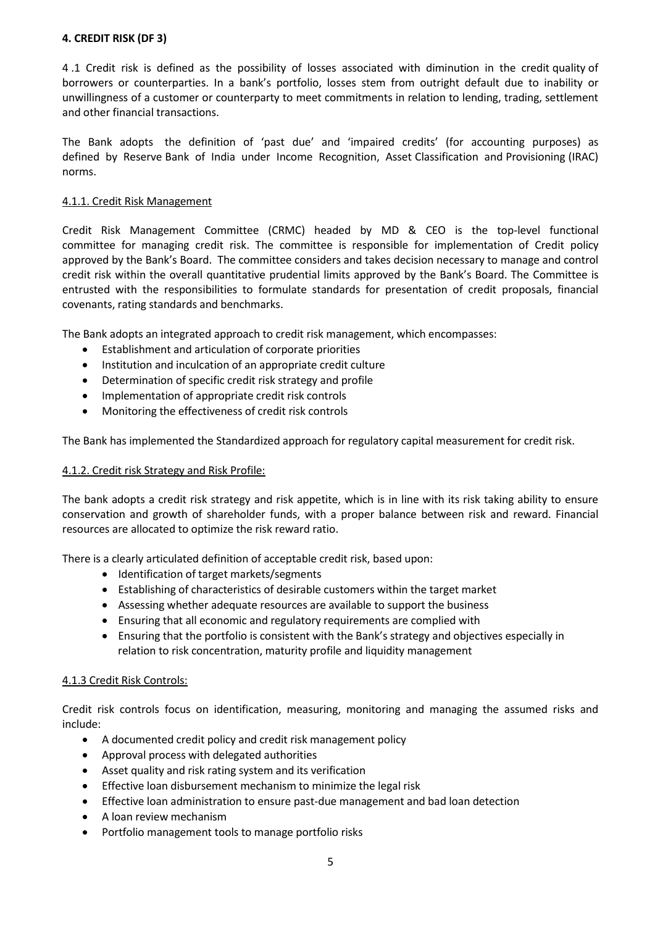## **4. CREDIT RISK (DF 3)**

4 .1 Credit risk is defined as the possibility of losses associated with diminution in the credit quality of borrowers or counterparties. In a bank's portfolio, losses stem from outright default due to inability or unwillingness of a customer or counterparty to meet commitments in relation to lending, trading, settlement and other financial transactions.

The Bank adopts the definition of 'past due' and 'impaired credits' (for accounting purposes) as defined by Reserve Bank of India under Income Recognition, Asset Classification and Provisioning (IRAC) norms.

## 4.1.1. Credit Risk Management

Credit Risk Management Committee (CRMC) headed by MD & CEO is the top-level functional committee for managing credit risk. The committee is responsible for implementation of Credit policy approved by the Bank's Board. The committee considers and takes decision necessary to manage and control credit risk within the overall quantitative prudential limits approved by the Bank's Board. The Committee is entrusted with the responsibilities to formulate standards for presentation of credit proposals, financial covenants, rating standards and benchmarks.

The Bank adopts an integrated approach to credit risk management, which encompasses:

- Establishment and articulation of corporate priorities
- Institution and inculcation of an appropriate credit culture
- Determination of specific credit risk strategy and profile
- Implementation of appropriate credit risk controls
- Monitoring the effectiveness of credit risk controls

The Bank has implemented the Standardized approach for regulatory capital measurement for credit risk.

## 4.1.2. Credit risk Strategy and Risk Profile:

The bank adopts a credit risk strategy and risk appetite, which is in line with its risk taking ability to ensure conservation and growth of shareholder funds, with a proper balance between risk and reward. Financial resources are allocated to optimize the risk reward ratio.

There is a clearly articulated definition of acceptable credit risk, based upon:

- Identification of target markets/segments
- Establishing of characteristics of desirable customers within the target market
- Assessing whether adequate resources are available to support the business
- Ensuring that all economic and regulatory requirements are complied with
- Ensuring that the portfolio is consistent with the Bank's strategy and objectives especially in relation to risk concentration, maturity profile and liquidity management

## 4.1.3 Credit Risk Controls:

Credit risk controls focus on identification, measuring, monitoring and managing the assumed risks and include:

- A documented credit policy and credit risk management policy
- Approval process with delegated authorities
- Asset quality and risk rating system and its verification
- Effective loan disbursement mechanism to minimize the legal risk
- Effective loan administration to ensure past-due management and bad loan detection
- A loan review mechanism
- Portfolio management tools to manage portfolio risks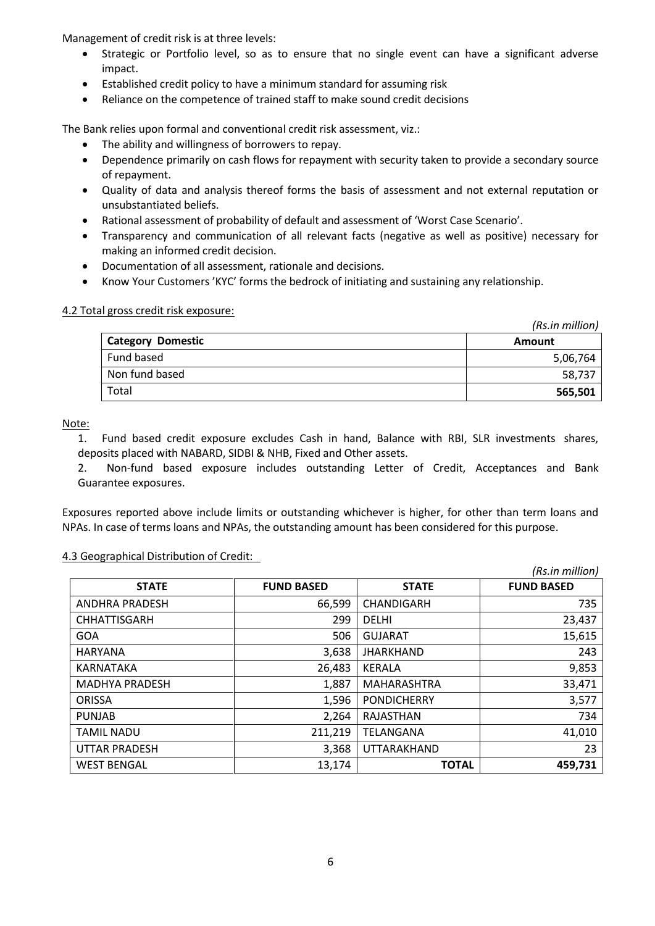Management of credit risk is at three levels:

- Strategic or Portfolio level, so as to ensure that no single event can have a significant adverse impact.
- Established credit policy to have a minimum standard for assuming risk
- Reliance on the competence of trained staff to make sound credit decisions

The Bank relies upon formal and conventional credit risk assessment, viz.:

- The ability and willingness of borrowers to repay.
- Dependence primarily on cash flows for repayment with security taken to provide a secondary source of repayment.
- Quality of data and analysis thereof forms the basis of assessment and not external reputation or unsubstantiated beliefs.
- Rational assessment of probability of default and assessment of 'Worst Case Scenario'.
- Transparency and communication of all relevant facts (negative as well as positive) necessary for making an informed credit decision.
- Documentation of all assessment, rationale and decisions.
- Know Your Customers 'KYC' forms the bedrock of initiating and sustaining any relationship.

## 4.2 Total gross credit risk exposure:

|                          | (Rs.in million) |
|--------------------------|-----------------|
| <b>Category Domestic</b> | <b>Amount</b>   |
| Fund based               | 5,06,764        |
| Non fund based           | 58,737          |
| Total                    | 565,501         |

Note:

1. Fund based credit exposure excludes Cash in hand, Balance with RBI, SLR investments shares, deposits placed with NABARD, SIDBI & NHB, Fixed and Other assets.

2. Non-fund based exposure includes outstanding Letter of Credit, Acceptances and Bank Guarantee exposures.

Exposures reported above include limits or outstanding whichever is higher, for other than term loans and NPAs. In case of terms loans and NPAs, the outstanding amount has been considered for this purpose.

## 4.3 Geographical Distribution of Credit:

|                       |                   |                    | (Rs.in million)   |
|-----------------------|-------------------|--------------------|-------------------|
| <b>STATE</b>          | <b>FUND BASED</b> | <b>STATE</b>       | <b>FUND BASED</b> |
| <b>ANDHRA PRADESH</b> | 66,599            | <b>CHANDIGARH</b>  | 735               |
| <b>CHHATTISGARH</b>   | 299               | <b>DELHI</b>       | 23,437            |
| <b>GOA</b>            | 506               | <b>GUJARAT</b>     | 15,615            |
| <b>HARYANA</b>        | 3,638             | <b>JHARKHAND</b>   | 243               |
| KARNATAKA             | 26,483            | KERALA             | 9,853             |
| <b>MADHYA PRADESH</b> | 1,887             | <b>MAHARASHTRA</b> | 33,471            |
| <b>ORISSA</b>         | 1,596             | <b>PONDICHERRY</b> | 3,577             |
| <b>PUNJAB</b>         | 2,264             | RAJASTHAN          | 734               |
| <b>TAMIL NADU</b>     | 211,219           | TELANGANA          | 41,010            |
| <b>UTTAR PRADESH</b>  | 3,368             | <b>UTTARAKHAND</b> | 23                |
| <b>WEST BENGAL</b>    | 13,174            | <b>TOTAL</b>       | 459,731           |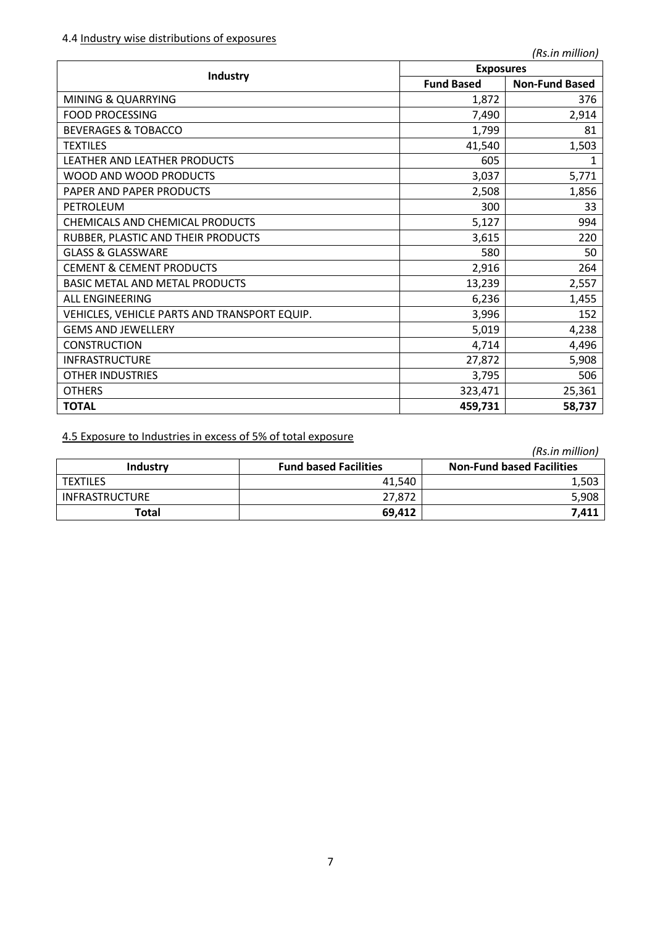|                                              |                   | <b>Exposures</b>      |  |  |  |
|----------------------------------------------|-------------------|-----------------------|--|--|--|
| Industry                                     | <b>Fund Based</b> | <b>Non-Fund Based</b> |  |  |  |
| <b>MINING &amp; QUARRYING</b>                | 1,872             | 376                   |  |  |  |
| <b>FOOD PROCESSING</b>                       | 7,490             | 2,914                 |  |  |  |
| <b>BEVERAGES &amp; TOBACCO</b>               | 1,799             | 81                    |  |  |  |
| <b>TEXTILES</b>                              | 41,540            | 1,503                 |  |  |  |
| LEATHER AND LEATHER PRODUCTS                 | 605               |                       |  |  |  |
| WOOD AND WOOD PRODUCTS                       | 3,037             | 5,771                 |  |  |  |
| PAPER AND PAPER PRODUCTS                     | 2,508             | 1,856                 |  |  |  |
| PETROLEUM                                    | 300               | 33                    |  |  |  |
| CHEMICALS AND CHEMICAL PRODUCTS              | 5,127             | 994                   |  |  |  |
| RUBBER, PLASTIC AND THEIR PRODUCTS           | 3,615             | 220                   |  |  |  |
| <b>GLASS &amp; GLASSWARE</b>                 | 580               | 50                    |  |  |  |
| <b>CEMENT &amp; CEMENT PRODUCTS</b>          | 2,916             | 264                   |  |  |  |
| <b>BASIC METAL AND METAL PRODUCTS</b>        | 13,239            | 2,557                 |  |  |  |
| <b>ALL ENGINEERING</b>                       | 6,236             | 1,455                 |  |  |  |
| VEHICLES, VEHICLE PARTS AND TRANSPORT EQUIP. | 3,996             | 152                   |  |  |  |
| <b>GEMS AND JEWELLERY</b>                    | 5,019             | 4,238                 |  |  |  |
| <b>CONSTRUCTION</b>                          | 4,714             | 4,496                 |  |  |  |
| <b>INFRASTRUCTURE</b>                        | 27,872            | 5,908                 |  |  |  |
| <b>OTHER INDUSTRIES</b>                      | 3,795             | 506                   |  |  |  |
| <b>OTHERS</b>                                | 323,471           | 25,361                |  |  |  |
| <b>TOTAL</b>                                 | 459,731           | 58,737                |  |  |  |

4.5 Exposure to Industries in excess of 5% of total exposure

|                       |                              | (Rs.in million)                  |
|-----------------------|------------------------------|----------------------------------|
| Industry              | <b>Fund based Facilities</b> | <b>Non-Fund based Facilities</b> |
| <b>TEXTILES</b>       | 41.540                       | 1,503                            |
| <b>INFRASTRUCTURE</b> | 27.872                       | 5,908                            |
| Total                 | 69,412                       | 7,411                            |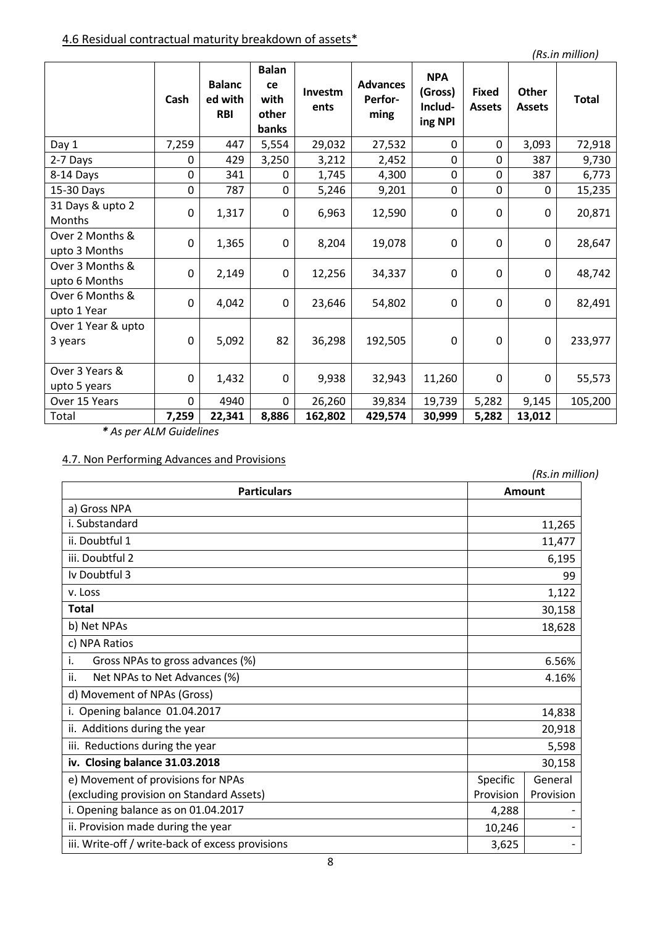# 4.6 Residual contractual maturity breakdown of assets\*

*(Rs.in million)*

|                                  | Cash        | <b>Balanc</b><br>ed with<br><b>RBI</b> | <b>Balan</b><br>ce<br>with<br>other<br>banks | Investm<br>ents | <b>Advances</b><br>Perfor-<br>ming | <b>NPA</b><br>(Gross)<br>Includ-<br>ing NPI | <b>Fixed</b><br><b>Assets</b> | <b>Other</b><br><b>Assets</b> | <b>Total</b> |
|----------------------------------|-------------|----------------------------------------|----------------------------------------------|-----------------|------------------------------------|---------------------------------------------|-------------------------------|-------------------------------|--------------|
| Day 1                            | 7,259       | 447                                    | 5,554                                        | 29,032          | 27,532                             | $\Omega$                                    | $\Omega$                      | 3,093                         | 72,918       |
| 2-7 Days                         | 0           | 429                                    | 3,250                                        | 3,212           | 2,452                              | $\mathbf 0$                                 | $\overline{0}$                | 387                           | 9,730        |
| 8-14 Days                        | 0           | 341                                    | $\Omega$                                     | 1,745           | 4,300                              | $\mathbf 0$                                 | $\mathbf 0$                   | 387                           | 6,773        |
| 15-30 Days                       | 0           | 787                                    | 0                                            | 5,246           | 9,201                              | $\Omega$                                    | $\mathbf 0$                   | $\mathbf{0}$                  | 15,235       |
| 31 Days & upto 2<br>Months       | 0           | 1,317                                  | $\mathbf 0$                                  | 6,963           | 12,590                             | $\Omega$                                    | $\Omega$                      | $\Omega$                      | 20,871       |
| Over 2 Months &<br>upto 3 Months | 0           | 1,365                                  | $\Omega$                                     | 8,204           | 19,078                             | $\mathbf{0}$                                | $\Omega$                      | $\Omega$                      | 28,647       |
| Over 3 Months &<br>upto 6 Months | 0           | 2,149                                  | $\Omega$                                     | 12,256          | 34,337                             | $\mathbf{0}$                                | $\Omega$                      | $\mathbf{0}$                  | 48,742       |
| Over 6 Months &<br>upto 1 Year   | 0           | 4,042                                  | $\Omega$                                     | 23,646          | 54,802                             | $\mathbf{0}$                                | $\Omega$                      | $\mathbf{0}$                  | 82,491       |
| Over 1 Year & upto<br>3 years    | $\mathbf 0$ | 5,092                                  | 82                                           | 36,298          | 192,505                            | $\mathbf{0}$                                | $\mathbf 0$                   | $\mathbf 0$                   | 233,977      |
| Over 3 Years &<br>upto 5 years   | 0           | 1,432                                  | $\Omega$                                     | 9,938           | 32,943                             | 11,260                                      | $\Omega$                      | 0                             | 55,573       |
| Over 15 Years                    | $\Omega$    | 4940                                   | $\Omega$                                     | 26,260          | 39,834                             | 19,739                                      | 5,282                         | 9,145                         | 105,200      |
| Total                            | 7,259       | 22,341                                 | 8,886                                        | 162,802         | 429,574                            | 30,999                                      | 5,282                         | 13,012                        |              |

*\* As per ALM Guidelines*

# 4.7. Non Performing Advances and Provisions

| Non chommig Advances and Hovisions               |               | (Rs.in million) |
|--------------------------------------------------|---------------|-----------------|
| <b>Particulars</b>                               | <b>Amount</b> |                 |
| a) Gross NPA                                     |               |                 |
| i. Substandard                                   |               | 11,265          |
| ii. Doubtful 1                                   |               | 11,477          |
| iii. Doubtful 2                                  |               | 6,195           |
| Iv Doubtful 3                                    |               | 99              |
| v. Loss                                          |               | 1,122           |
| <b>Total</b>                                     |               | 30,158          |
| b) Net NPAs                                      |               | 18,628          |
| c) NPA Ratios                                    |               |                 |
| i.<br>Gross NPAs to gross advances (%)           |               | 6.56%           |
| ii.<br>Net NPAs to Net Advances (%)              |               | 4.16%           |
| d) Movement of NPAs (Gross)                      |               |                 |
| i. Opening balance 01.04.2017                    |               | 14,838          |
| ii. Additions during the year                    |               | 20,918          |
| iii. Reductions during the year                  |               | 5,598           |
| iv. Closing balance 31.03.2018                   |               | 30,158          |
| e) Movement of provisions for NPAs               | Specific      | General         |
| (excluding provision on Standard Assets)         | Provision     | Provision       |
| i. Opening balance as on 01.04.2017              | 4,288         |                 |
| ii. Provision made during the year               | 10,246        |                 |
| iii. Write-off / write-back of excess provisions | 3,625         |                 |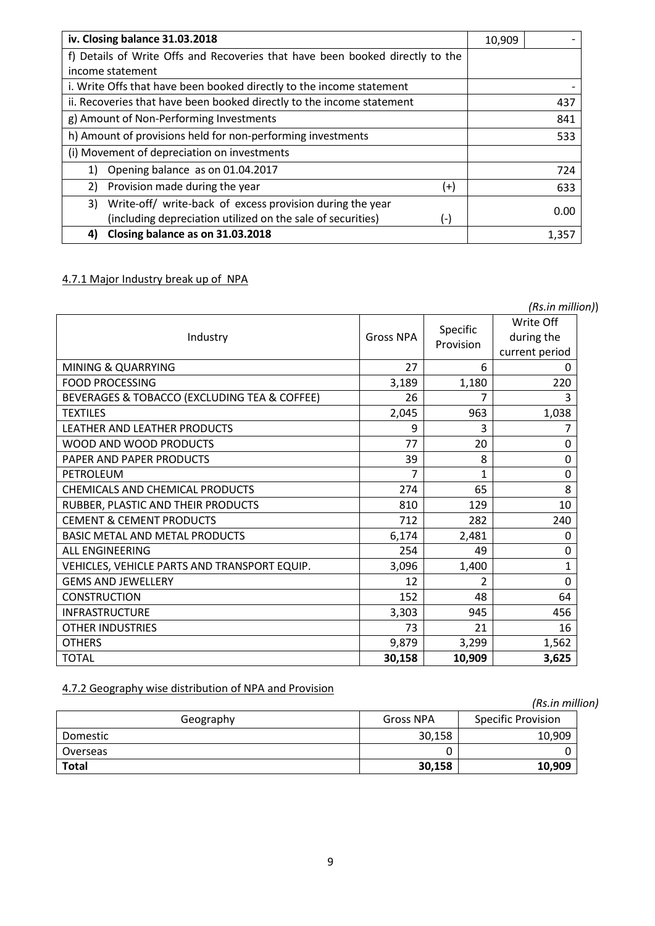| iv. Closing balance 31.03.2018                                                | 10,909 |       |
|-------------------------------------------------------------------------------|--------|-------|
| f) Details of Write Offs and Recoveries that have been booked directly to the |        |       |
| income statement                                                              |        |       |
| i. Write Offs that have been booked directly to the income statement          |        |       |
| ii. Recoveries that have been booked directly to the income statement         |        | 437   |
| g) Amount of Non-Performing Investments                                       |        | 841   |
| h) Amount of provisions held for non-performing investments                   |        | 533   |
| (i) Movement of depreciation on investments                                   |        |       |
| Opening balance as on 01.04.2017<br>1)                                        |        | 724   |
| Provision made during the year<br>2)<br>$^{(+)}$                              |        | 633   |
| Write-off/ write-back of excess provision during the year<br>3)               |        | 0.00  |
| (including depreciation utilized on the sale of securities)<br>(-)            |        |       |
| Closing balance as on 31.03.2018<br>4)                                        |        | 1,357 |

# 4.7.1 Major Industry break up of NPA

|                                              |                  |                       | (Rs.in million))                          |  |
|----------------------------------------------|------------------|-----------------------|-------------------------------------------|--|
| Industry                                     | <b>Gross NPA</b> | Specific<br>Provision | Write Off<br>during the<br>current period |  |
| <b>MINING &amp; QUARRYING</b>                | 27               | 6                     | 0                                         |  |
| <b>FOOD PROCESSING</b>                       | 3,189            | 1,180                 | 220                                       |  |
| BEVERAGES & TOBACCO (EXCLUDING TEA & COFFEE) | 26               |                       | 3                                         |  |
| <b>TEXTILES</b>                              | 2,045            | 963                   | 1,038                                     |  |
| LEATHER AND LEATHER PRODUCTS                 | 9                | 3                     | 7                                         |  |
| WOOD AND WOOD PRODUCTS                       | 77               | 20                    | 0                                         |  |
| PAPER AND PAPER PRODUCTS                     | 39               | 8                     | 0                                         |  |
| PETROLEUM                                    | 7                | 1                     | 0                                         |  |
| CHEMICALS AND CHEMICAL PRODUCTS              | 274              | 65                    | 8                                         |  |
| RUBBER, PLASTIC AND THEIR PRODUCTS           | 810              | 129                   | 10                                        |  |
| <b>CEMENT &amp; CEMENT PRODUCTS</b>          | 712              | 282                   | 240                                       |  |
| <b>BASIC METAL AND METAL PRODUCTS</b>        | 6,174            | 2,481                 | 0                                         |  |
| <b>ALL ENGINEERING</b>                       | 254              | 49                    | 0                                         |  |
| VEHICLES, VEHICLE PARTS AND TRANSPORT EQUIP. | 3,096            | 1,400                 | 1                                         |  |
| <b>GEMS AND JEWELLERY</b>                    | 12               | 2                     | $\Omega$                                  |  |
| <b>CONSTRUCTION</b>                          | 152              | 48                    | 64                                        |  |
| <b>INFRASTRUCTURE</b>                        | 3,303            | 945                   | 456                                       |  |
| <b>OTHER INDUSTRIES</b>                      | 73               | 21                    | 16                                        |  |
| <b>OTHERS</b>                                | 9,879            | 3,299                 | 1,562                                     |  |
| <b>TOTAL</b>                                 | 30,158           | 10,909                | 3,625                                     |  |

# 4.7.2 Geography wise distribution of NPA and Provision

| $\frac{1}{2}$ Substabily wise distribution of its Adila Floyision |           |                           |  |
|-------------------------------------------------------------------|-----------|---------------------------|--|
|                                                                   |           | (Rs.in million)           |  |
| Geography                                                         | Gross NPA | <b>Specific Provision</b> |  |
| Domestic                                                          | 30,158    | 10,909                    |  |
| Overseas                                                          |           |                           |  |
| <b>Total</b>                                                      | 30,158    | 10,909                    |  |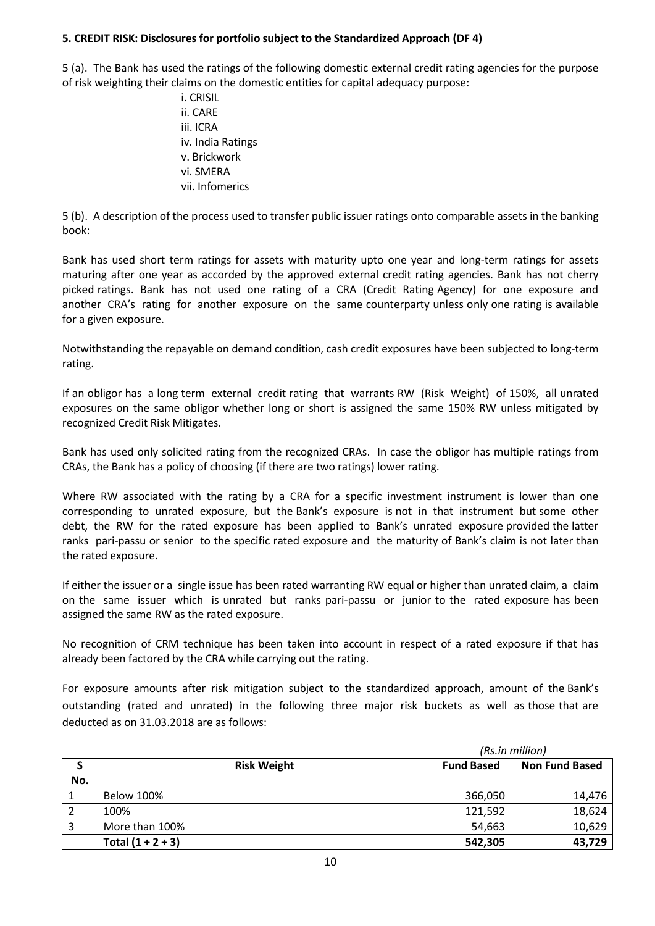## **5. CREDIT RISK: Disclosures for portfolio subject to the Standardized Approach (DF 4)**

5 (a). The Bank has used the ratings of the following domestic external credit rating agencies for the purpose of risk weighting their claims on the domestic entities for capital adequacy purpose:

> i. CRISIL ii. CARE iii. ICRA iv. India Ratings v. Brickwork vi. SMERA vii. Infomerics

5 (b). A description of the process used to transfer public issuer ratings onto comparable assets in the banking book:

Bank has used short term ratings for assets with maturity upto one year and long-term ratings for assets maturing after one year as accorded by the approved external credit rating agencies. Bank has not cherry picked ratings. Bank has not used one rating of a CRA (Credit Rating Agency) for one exposure and another CRA's rating for another exposure on the same counterparty unless only one rating is available for a given exposure.

Notwithstanding the repayable on demand condition, cash credit exposures have been subjected to long-term rating.

If an obligor has a long term external credit rating that warrants RW (Risk Weight) of 150%, all unrated exposures on the same obligor whether long or short is assigned the same 150% RW unless mitigated by recognized Credit Risk Mitigates.

Bank has used only solicited rating from the recognized CRAs. In case the obligor has multiple ratings from CRAs, the Bank has a policy of choosing (if there are two ratings) lower rating.

Where RW associated with the rating by a CRA for a specific investment instrument is lower than one corresponding to unrated exposure, but the Bank's exposure is not in that instrument but some other debt, the RW for the rated exposure has been applied to Bank's unrated exposure provided the latter ranks pari-passu or senior to the specific rated exposure and the maturity of Bank's claim is not later than the rated exposure.

If either the issuer or a single issue has been rated warranting RW equal or higher than unrated claim, a claim on the same issuer which is unrated but ranks pari-passu or junior to the rated exposure has been assigned the same RW as the rated exposure.

No recognition of CRM technique has been taken into account in respect of a rated exposure if that has already been factored by the CRA while carrying out the rating.

For exposure amounts after risk mitigation subject to the standardized approach, amount of the Bank's outstanding (rated and unrated) in the following three major risk buckets as well as those that are deducted as on 31.03.2018 are as follows:

|     |                     | (Rs.in million)                            |        |  |
|-----|---------------------|--------------------------------------------|--------|--|
| S   | <b>Risk Weight</b>  | <b>Fund Based</b><br><b>Non Fund Based</b> |        |  |
| No. |                     |                                            |        |  |
|     | <b>Below 100%</b>   | 366,050                                    | 14,476 |  |
|     | 100%                | 121,592                                    | 18,624 |  |
|     | More than 100%      | 54,663                                     | 10,629 |  |
|     | Total $(1 + 2 + 3)$ | 542,305                                    | 43,729 |  |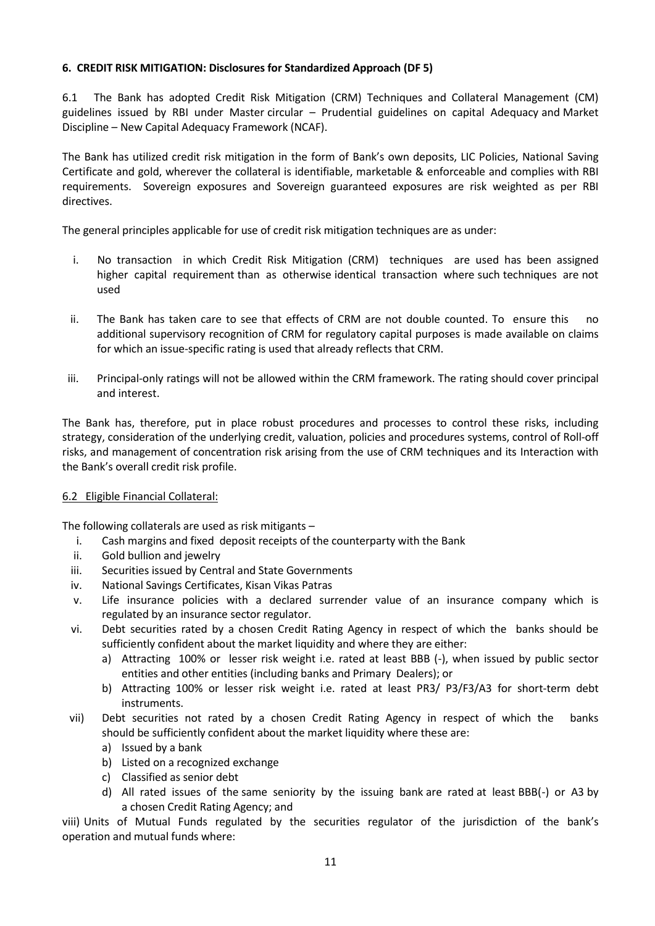## **6. CREDIT RISK MITIGATION: Disclosures for Standardized Approach (DF 5)**

6.1 The Bank has adopted Credit Risk Mitigation (CRM) Techniques and Collateral Management (CM) guidelines issued by RBI under Master circular – Prudential guidelines on capital Adequacy and Market Discipline – New Capital Adequacy Framework (NCAF).

The Bank has utilized credit risk mitigation in the form of Bank's own deposits, LIC Policies, National Saving Certificate and gold, wherever the collateral is identifiable, marketable & enforceable and complies with RBI requirements. Sovereign exposures and Sovereign guaranteed exposures are risk weighted as per RBI directives.

The general principles applicable for use of credit risk mitigation techniques are as under:

- i. No transaction in which Credit Risk Mitigation (CRM) techniques are used has been assigned higher capital requirement than as otherwise identical transaction where such techniques are not used
- ii. The Bank has taken care to see that effects of CRM are not double counted. To ensure this no additional supervisory recognition of CRM for regulatory capital purposes is made available on claims for which an issue-specific rating is used that already reflects that CRM.
- iii. Principal-only ratings will not be allowed within the CRM framework. The rating should cover principal and interest.

The Bank has, therefore, put in place robust procedures and processes to control these risks, including strategy, consideration of the underlying credit, valuation, policies and procedures systems, control of Roll-off risks, and management of concentration risk arising from the use of CRM techniques and its Interaction with the Bank's overall credit risk profile.

## 6.2 Eligible Financial Collateral:

The following collaterals are used as risk mitigants –

- i. Cash margins and fixed deposit receipts of the counterparty with the Bank
- ii. Gold bullion and jewelry
- iii. Securities issued by Central and State Governments
- iv. National Savings Certificates, Kisan Vikas Patras
- v. Life insurance policies with a declared surrender value of an insurance company which is regulated by an insurance sector regulator.
- vi. Debt securities rated by a chosen Credit Rating Agency in respect of which the banks should be sufficiently confident about the market liquidity and where they are either:
	- a) Attracting 100% or lesser risk weight i.e. rated at least BBB (-), when issued by public sector entities and other entities (including banks and Primary Dealers); or
	- b) Attracting 100% or lesser risk weight i.e. rated at least PR3/ P3/F3/A3 for short-term debt instruments.
- vii) Debt securities not rated by a chosen Credit Rating Agency in respect of which the banks should be sufficiently confident about the market liquidity where these are:
	- a) Issued by a bank
	- b) Listed on a recognized exchange
	- c) Classified as senior debt
	- d) All rated issues of the same seniority by the issuing bank are rated at least BBB(-) or A3 by a chosen Credit Rating Agency; and

viii) Units of Mutual Funds regulated by the securities regulator of the jurisdiction of the bank's operation and mutual funds where: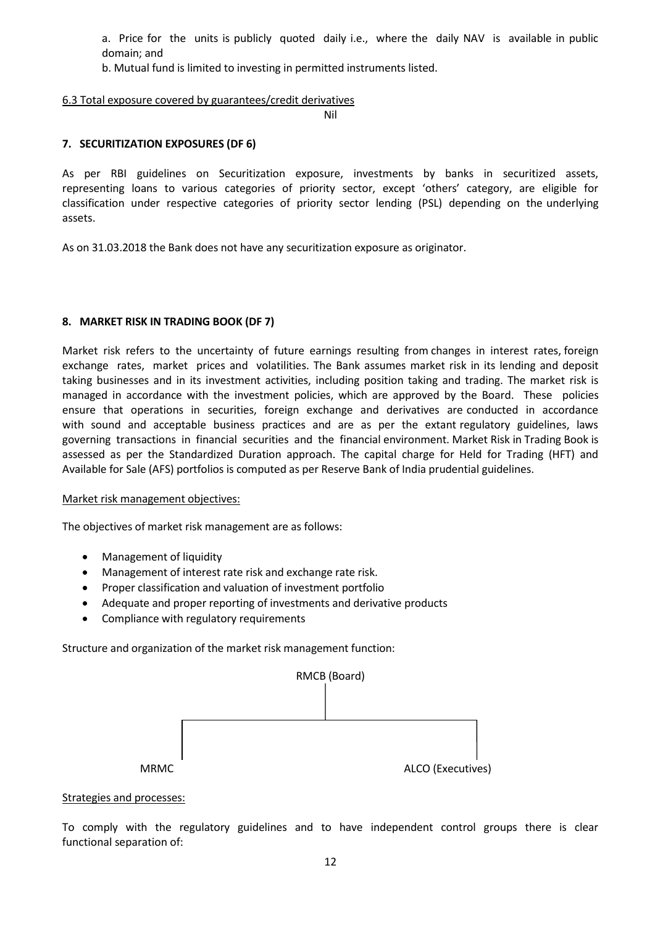a. Price for the units is publicly quoted daily i.e., where the daily NAV is available in public domain; and

b. Mutual fund is limited to investing in permitted instruments listed.

## 6.3 Total exposure covered by guarantees/credit derivatives

Nil

#### **7. SECURITIZATION EXPOSURES (DF 6)**

As per RBI guidelines on Securitization exposure, investments by banks in securitized assets, representing loans to various categories of priority sector, except 'others' category, are eligible for classification under respective categories of priority sector lending (PSL) depending on the underlying assets.

As on 31.03.2018 the Bank does not have any securitization exposure as originator.

## **8. MARKET RISK IN TRADING BOOK (DF 7)**

Market risk refers to the uncertainty of future earnings resulting from changes in interest rates, foreign exchange rates, market prices and volatilities. The Bank assumes market risk in its lending and deposit taking businesses and in its investment activities, including position taking and trading. The market risk is managed in accordance with the investment policies, which are approved by the Board. These policies ensure that operations in securities, foreign exchange and derivatives are conducted in accordance with sound and acceptable business practices and are as per the extant regulatory guidelines, laws governing transactions in financial securities and the financial environment. Market Risk in Trading Book is assessed as per the Standardized Duration approach. The capital charge for Held for Trading (HFT) and Available for Sale (AFS) portfolios is computed as per Reserve Bank of India prudential guidelines.

## Market risk management objectives:

The objectives of market risk management are as follows:

- Management of liquidity
- Management of interest rate risk and exchange rate risk.
- Proper classification and valuation of investment portfolio
- Adequate and proper reporting of investments and derivative products
- Compliance with regulatory requirements

Structure and organization of the market risk management function:



#### Strategies and processes:

To comply with the regulatory guidelines and to have independent control groups there is clear functional separation of: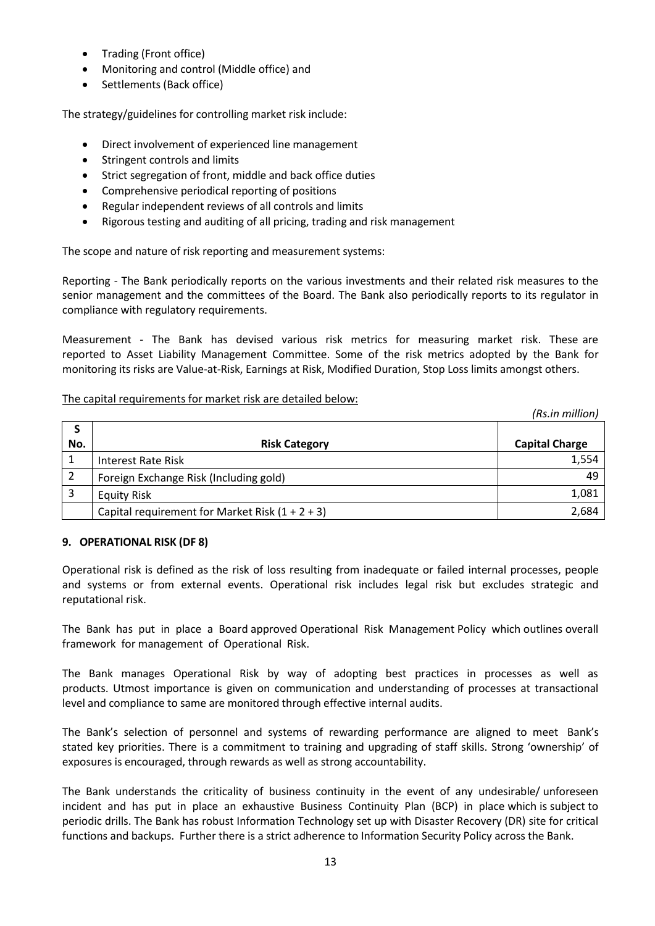- Trading (Front office)
- Monitoring and control (Middle office) and
- Settlements (Back office)

The strategy/guidelines for controlling market risk include:

- Direct involvement of experienced line management
- Stringent controls and limits
- Strict segregation of front, middle and back office duties
- Comprehensive periodical reporting of positions
- Regular independent reviews of all controls and limits
- Rigorous testing and auditing of all pricing, trading and risk management

The scope and nature of risk reporting and measurement systems:

Reporting - The Bank periodically reports on the various investments and their related risk measures to the senior management and the committees of the Board. The Bank also periodically reports to its regulator in compliance with regulatory requirements.

Measurement - The Bank has devised various risk metrics for measuring market risk. These are reported to Asset Liability Management Committee. Some of the risk metrics adopted by the Bank for monitoring its risks are Value-at-Risk, Earnings at Risk, Modified Duration, Stop Loss limits amongst others.

## The capital requirements for market risk are detailed below:

|     |                                                   | (Rs.in million)       |
|-----|---------------------------------------------------|-----------------------|
|     |                                                   |                       |
| No. | <b>Risk Category</b>                              | <b>Capital Charge</b> |
|     | <b>Interest Rate Risk</b>                         | 1,554                 |
| 2   | Foreign Exchange Risk (Including gold)            | 49                    |
|     | <b>Equity Risk</b>                                | 1,081                 |
|     | Capital requirement for Market Risk $(1 + 2 + 3)$ | 2,684                 |

## **9. OPERATIONAL RISK (DF 8)**

Operational risk is defined as the risk of loss resulting from inadequate or failed internal processes, people and systems or from external events. Operational risk includes legal risk but excludes strategic and reputational risk.

The Bank has put in place a Board approved Operational Risk Management Policy which outlines overall framework for management of Operational Risk.

The Bank manages Operational Risk by way of adopting best practices in processes as well as products. Utmost importance is given on communication and understanding of processes at transactional level and compliance to same are monitored through effective internal audits.

The Bank's selection of personnel and systems of rewarding performance are aligned to meet Bank's stated key priorities. There is a commitment to training and upgrading of staff skills. Strong 'ownership' of exposures is encouraged, through rewards as well as strong accountability.

The Bank understands the criticality of business continuity in the event of any undesirable/ unforeseen incident and has put in place an exhaustive Business Continuity Plan (BCP) in place which is subject to periodic drills. The Bank has robust Information Technology set up with Disaster Recovery (DR) site for critical functions and backups. Further there is a strict adherence to Information Security Policy across the Bank.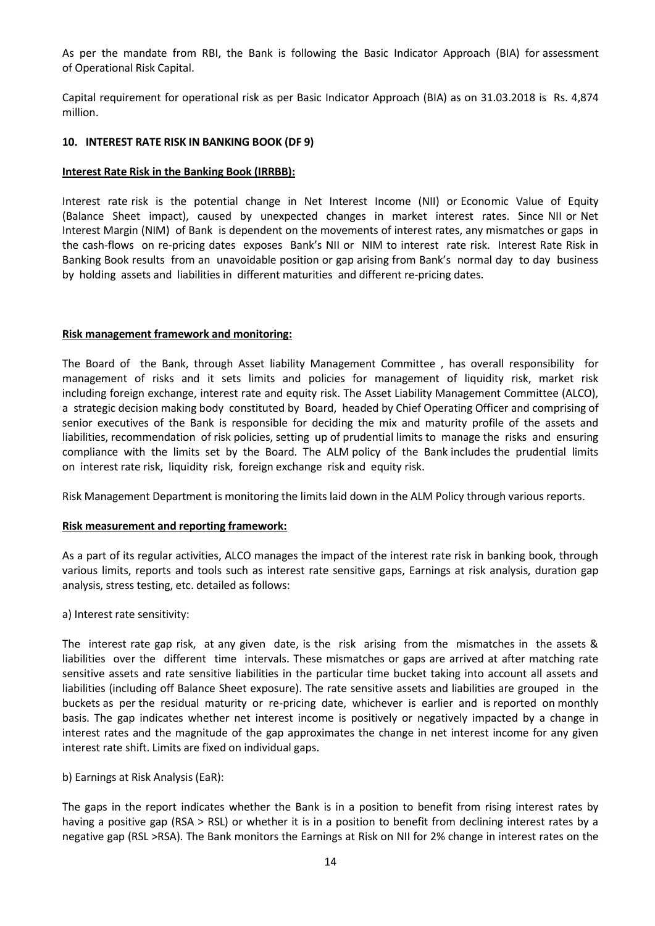As per the mandate from RBI, the Bank is following the Basic Indicator Approach (BIA) for assessment of Operational Risk Capital.

Capital requirement for operational risk as per Basic Indicator Approach (BIA) as on 31.03.2018 is Rs. 4,874 million.

### **10. INTEREST RATE RISK IN BANKING BOOK (DF 9)**

#### **Interest Rate Risk in the Banking Book (IRRBB):**

Interest rate risk is the potential change in Net Interest Income (NII) or Economic Value of Equity (Balance Sheet impact), caused by unexpected changes in market interest rates. Since NII or Net Interest Margin (NIM) of Bank is dependent on the movements of interest rates, any mismatches or gaps in the cash-flows on re-pricing dates exposes Bank's NII or NIM to interest rate risk. Interest Rate Risk in Banking Book results from an unavoidable position or gap arising from Bank's normal day to day business by holding assets and liabilities in different maturities and different re-pricing dates.

### **Risk management framework and monitoring:**

The Board of the Bank, through Asset liability Management Committee , has overall responsibility for management of risks and it sets limits and policies for management of liquidity risk, market risk including foreign exchange, interest rate and equity risk. The Asset Liability Management Committee (ALCO), a strategic decision making body constituted by Board, headed by Chief Operating Officer and comprising of senior executives of the Bank is responsible for deciding the mix and maturity profile of the assets and liabilities, recommendation of risk policies, setting up of prudential limits to manage the risks and ensuring compliance with the limits set by the Board. The ALM policy of the Bank includes the prudential limits on interest rate risk, liquidity risk, foreign exchange risk and equity risk.

Risk Management Department is monitoring the limits laid down in the ALM Policy through various reports.

#### **Risk measurement and reporting framework:**

As a part of its regular activities, ALCO manages the impact of the interest rate risk in banking book, through various limits, reports and tools such as interest rate sensitive gaps, Earnings at risk analysis, duration gap analysis, stress testing, etc. detailed as follows:

a) Interest rate sensitivity:

The interest rate gap risk, at any given date, is the risk arising from the mismatches in the assets & liabilities over the different time intervals. These mismatches or gaps are arrived at after matching rate sensitive assets and rate sensitive liabilities in the particular time bucket taking into account all assets and liabilities (including off Balance Sheet exposure). The rate sensitive assets and liabilities are grouped in the buckets as per the residual maturity or re-pricing date, whichever is earlier and is reported on monthly basis. The gap indicates whether net interest income is positively or negatively impacted by a change in interest rates and the magnitude of the gap approximates the change in net interest income for any given interest rate shift. Limits are fixed on individual gaps.

b) Earnings at Risk Analysis (EaR):

The gaps in the report indicates whether the Bank is in a position to benefit from rising interest rates by having a positive gap (RSA > RSL) or whether it is in a position to benefit from declining interest rates by a negative gap (RSL >RSA). The Bank monitors the Earnings at Risk on NII for 2% change in interest rates on the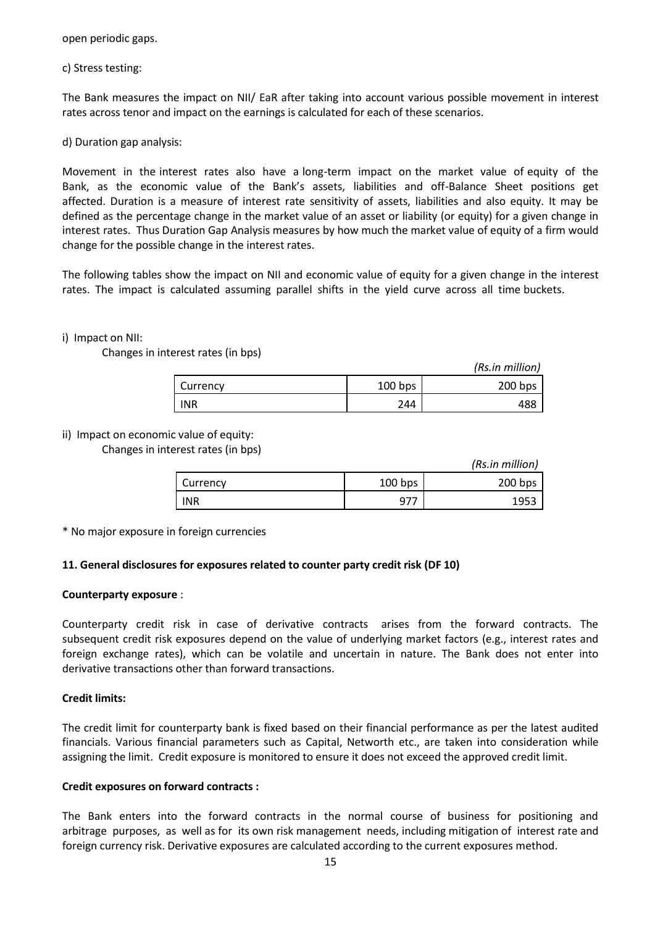open periodic gaps.

c) Stress testing:

The Bank measures the impact on NII/ EaR after taking into account various possible movement in interest rates across tenor and impact on the earnings is calculated for each of these scenarios.

d) Duration gap analysis:

Movement in the interest rates also have a long-term impact on the market value of equity of the Bank, as the economic value of the Bank's assets, liabilities and off-Balance Sheet positions get affected. Duration is a measure of interest rate sensitivity of assets, liabilities and also equity. It may be defined as the percentage change in the market value of an asset or liability (or equity) for a given change in interest rates. Thus Duration Gap Analysis measures by how much the market value of equity of a firm would change for the possible change in the interest rates.

The following tables show the impact on NII and economic value of equity for a given change in the interest rates. The impact is calculated assuming parallel shifts in the yield curve across all time buckets.

## i) Impact on NII:

Changes in interest rates (in bps)

|            |           | (Rs.in million) |
|------------|-----------|-----------------|
| Currency   | $100$ bps | $200$ bps       |
| <b>INR</b> | 244       | 10 O            |

ii) Impact on economic value of equity:

Changes in interest rates (in bps)

|            |           | (Rs.in million) |
|------------|-----------|-----------------|
| Currency   | $100$ bps | 200 bps         |
| <b>INR</b> | 977       | 1953            |

\* No major exposure in foreign currencies

## **11. General disclosures for exposures related to counter party credit risk (DF 10)**

## **Counterparty exposure** :

Counterparty credit risk in case of derivative contracts arises from the forward contracts. The subsequent credit risk exposures depend on the value of underlying market factors (e.g., interest rates and foreign exchange rates), which can be volatile and uncertain in nature. The Bank does not enter into derivative transactions other than forward transactions.

## **Credit limits:**

The credit limit for counterparty bank is fixed based on their financial performance as per the latest audited financials. Various financial parameters such as Capital, Networth etc., are taken into consideration while assigning the limit. Credit exposure is monitored to ensure it does not exceed the approved credit limit.

## **Credit exposures on forward contracts :**

The Bank enters into the forward contracts in the normal course of business for positioning and arbitrage purposes, as well as for its own risk management needs, including mitigation of interest rate and foreign currency risk. Derivative exposures are calculated according to the current exposures method.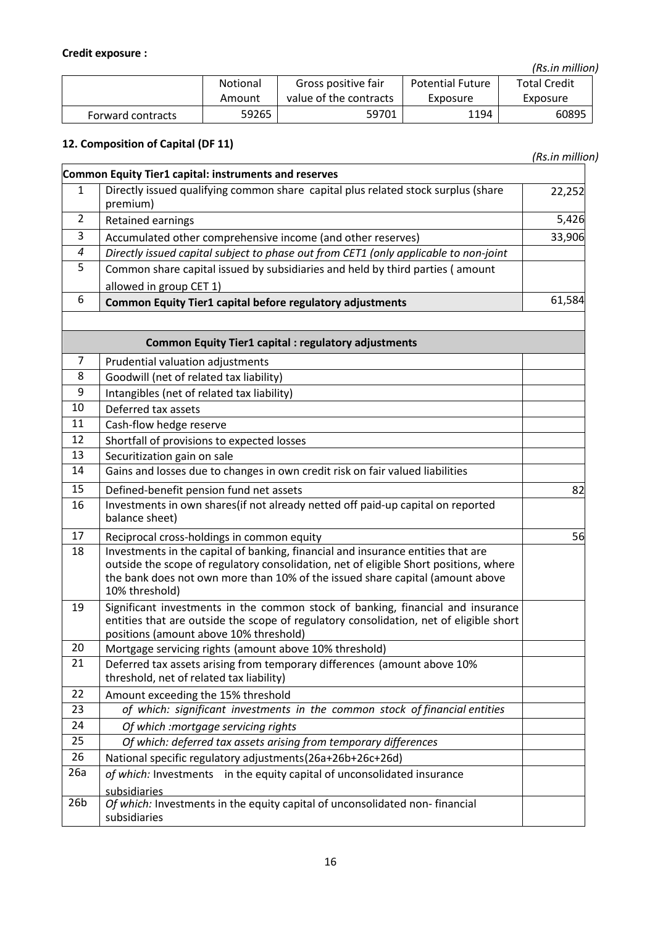l,

*(Rs.in million)*

|                   | <b>Notional</b> | Gross positive fair    | <b>Potential Future</b> | <b>Total Credit</b> |
|-------------------|-----------------|------------------------|-------------------------|---------------------|
|                   | Amount          | value of the contracts | Exposure                | Exposure            |
| Forward contracts | 59265           | 59701                  | 1194                    | 60895               |

# **12. Composition of Capital (DF 11)**

 *(Rs.in million)*

|                  | Common Equity Tier1 capital: instruments and reserves                                                                                                                                                                                                                        |        |
|------------------|------------------------------------------------------------------------------------------------------------------------------------------------------------------------------------------------------------------------------------------------------------------------------|--------|
| 1                | Directly issued qualifying common share capital plus related stock surplus (share<br>premium)                                                                                                                                                                                | 22,252 |
| 2                | Retained earnings                                                                                                                                                                                                                                                            | 5,426  |
| 3                | Accumulated other comprehensive income (and other reserves)                                                                                                                                                                                                                  | 33,906 |
| $\boldsymbol{4}$ | Directly issued capital subject to phase out from CET1 (only applicable to non-joint                                                                                                                                                                                         |        |
| 5                | Common share capital issued by subsidiaries and held by third parties (amount                                                                                                                                                                                                |        |
|                  | allowed in group CET 1)                                                                                                                                                                                                                                                      |        |
| 6                | Common Equity Tier1 capital before regulatory adjustments                                                                                                                                                                                                                    | 61,584 |
|                  |                                                                                                                                                                                                                                                                              |        |
|                  | <b>Common Equity Tier1 capital : regulatory adjustments</b>                                                                                                                                                                                                                  |        |
| 7                | Prudential valuation adjustments                                                                                                                                                                                                                                             |        |
| 8                | Goodwill (net of related tax liability)                                                                                                                                                                                                                                      |        |
| 9                | Intangibles (net of related tax liability)                                                                                                                                                                                                                                   |        |
| 10               | Deferred tax assets                                                                                                                                                                                                                                                          |        |
| 11               | Cash-flow hedge reserve                                                                                                                                                                                                                                                      |        |
| 12               | Shortfall of provisions to expected losses                                                                                                                                                                                                                                   |        |
| 13               | Securitization gain on sale                                                                                                                                                                                                                                                  |        |
| 14               | Gains and losses due to changes in own credit risk on fair valued liabilities                                                                                                                                                                                                |        |
| 15               | Defined-benefit pension fund net assets                                                                                                                                                                                                                                      | 82     |
| 16               | Investments in own shares(if not already netted off paid-up capital on reported<br>balance sheet)                                                                                                                                                                            |        |
| 17               | Reciprocal cross-holdings in common equity                                                                                                                                                                                                                                   | 56     |
| 18               | Investments in the capital of banking, financial and insurance entities that are<br>outside the scope of regulatory consolidation, net of eligible Short positions, where<br>the bank does not own more than 10% of the issued share capital (amount above<br>10% threshold) |        |
| 19               | Significant investments in the common stock of banking, financial and insurance<br>entities that are outside the scope of regulatory consolidation, net of eligible short<br>positions (amount above 10% threshold)                                                          |        |
| 20               | Mortgage servicing rights (amount above 10% threshold)                                                                                                                                                                                                                       |        |
| 21               | Deferred tax assets arising from temporary differences (amount above 10%<br>threshold, net of related tax liability)                                                                                                                                                         |        |
| 22               | Amount exceeding the 15% threshold                                                                                                                                                                                                                                           |        |
| 23               | of which: significant investments in the common stock of financial entities                                                                                                                                                                                                  |        |
| 24               | Of which :mortgage servicing rights                                                                                                                                                                                                                                          |        |
| 25               | Of which: deferred tax assets arising from temporary differences                                                                                                                                                                                                             |        |
| 26               | National specific regulatory adjustments (26a+26b+26c+26d)                                                                                                                                                                                                                   |        |
| 26a              | of which: Investments in the equity capital of unconsolidated insurance                                                                                                                                                                                                      |        |
| 26 <sub>b</sub>  | subsidiaries<br>Of which: Investments in the equity capital of unconsolidated non-financial<br>subsidiaries                                                                                                                                                                  |        |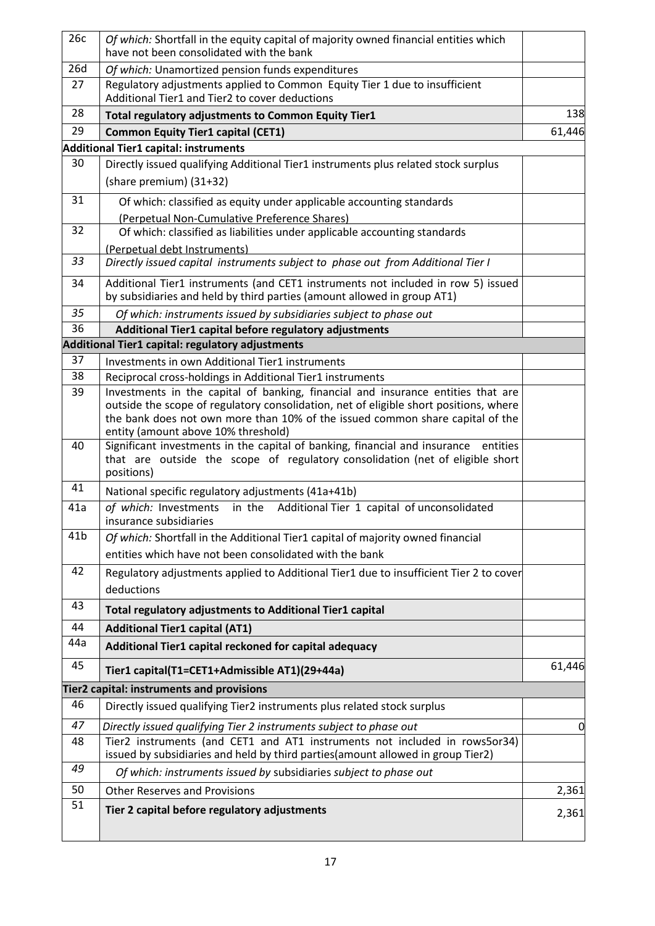| 26c             | Of which: Shortfall in the equity capital of majority owned financial entities which<br>have not been consolidated with the bank                                                                                                                                                                  |        |
|-----------------|---------------------------------------------------------------------------------------------------------------------------------------------------------------------------------------------------------------------------------------------------------------------------------------------------|--------|
| 26d             | Of which: Unamortized pension funds expenditures                                                                                                                                                                                                                                                  |        |
| 27              | Regulatory adjustments applied to Common Equity Tier 1 due to insufficient<br>Additional Tier1 and Tier2 to cover deductions                                                                                                                                                                      |        |
| 28              | Total regulatory adjustments to Common Equity Tier1                                                                                                                                                                                                                                               | 138    |
| 29              | <b>Common Equity Tier1 capital (CET1)</b>                                                                                                                                                                                                                                                         | 61,446 |
|                 | <b>Additional Tier1 capital: instruments</b>                                                                                                                                                                                                                                                      |        |
| 30              | Directly issued qualifying Additional Tier1 instruments plus related stock surplus<br>(share premium) (31+32)                                                                                                                                                                                     |        |
| 31              | Of which: classified as equity under applicable accounting standards<br>(Perpetual Non-Cumulative Preference Shares)                                                                                                                                                                              |        |
| 32              | Of which: classified as liabilities under applicable accounting standards<br>(Perpetual debt Instruments)                                                                                                                                                                                         |        |
| 33              | Directly issued capital instruments subject to phase out from Additional Tier I                                                                                                                                                                                                                   |        |
| 34              | Additional Tier1 instruments (and CET1 instruments not included in row 5) issued<br>by subsidiaries and held by third parties (amount allowed in group AT1)                                                                                                                                       |        |
| 35              | Of which: instruments issued by subsidiaries subject to phase out                                                                                                                                                                                                                                 |        |
| 36              | Additional Tier1 capital before regulatory adjustments                                                                                                                                                                                                                                            |        |
|                 | Additional Tier1 capital: regulatory adjustments                                                                                                                                                                                                                                                  |        |
| 37              | Investments in own Additional Tier1 instruments                                                                                                                                                                                                                                                   |        |
| 38              | Reciprocal cross-holdings in Additional Tier1 instruments                                                                                                                                                                                                                                         |        |
| 39              | Investments in the capital of banking, financial and insurance entities that are<br>outside the scope of regulatory consolidation, net of eligible short positions, where<br>the bank does not own more than 10% of the issued common share capital of the<br>entity (amount above 10% threshold) |        |
| 40              | Significant investments in the capital of banking, financial and insurance entities<br>that are outside the scope of regulatory consolidation (net of eligible short<br>positions)                                                                                                                |        |
| 41              | National specific regulatory adjustments (41a+41b)                                                                                                                                                                                                                                                |        |
| 41a             | of which: Investments<br>in the Additional Tier 1 capital of unconsolidated<br>insurance subsidiaries                                                                                                                                                                                             |        |
| 41 <sub>b</sub> | Of which: Shortfall in the Additional Tier1 capital of majority owned financial                                                                                                                                                                                                                   |        |
|                 | entities which have not been consolidated with the bank                                                                                                                                                                                                                                           |        |
| 42              | Regulatory adjustments applied to Additional Tier1 due to insufficient Tier 2 to cover<br>deductions                                                                                                                                                                                              |        |
| 43              | Total regulatory adjustments to Additional Tier1 capital                                                                                                                                                                                                                                          |        |
| 44              | <b>Additional Tier1 capital (AT1)</b>                                                                                                                                                                                                                                                             |        |
| 44a             | Additional Tier1 capital reckoned for capital adequacy                                                                                                                                                                                                                                            |        |
| 45              | Tier1 capital(T1=CET1+Admissible AT1)(29+44a)                                                                                                                                                                                                                                                     | 61,446 |
|                 | Tier2 capital: instruments and provisions                                                                                                                                                                                                                                                         |        |
| 46              | Directly issued qualifying Tier2 instruments plus related stock surplus                                                                                                                                                                                                                           |        |
| 47              | Directly issued qualifying Tier 2 instruments subject to phase out                                                                                                                                                                                                                                | 0      |
| 48              | Tier2 instruments (and CET1 and AT1 instruments not included in rows5or34)<br>issued by subsidiaries and held by third parties(amount allowed in group Tier2)                                                                                                                                     |        |
| 49              | Of which: instruments issued by subsidiaries subject to phase out                                                                                                                                                                                                                                 |        |
| 50              | <b>Other Reserves and Provisions</b>                                                                                                                                                                                                                                                              | 2,361  |
| 51              | Tier 2 capital before regulatory adjustments                                                                                                                                                                                                                                                      | 2,361  |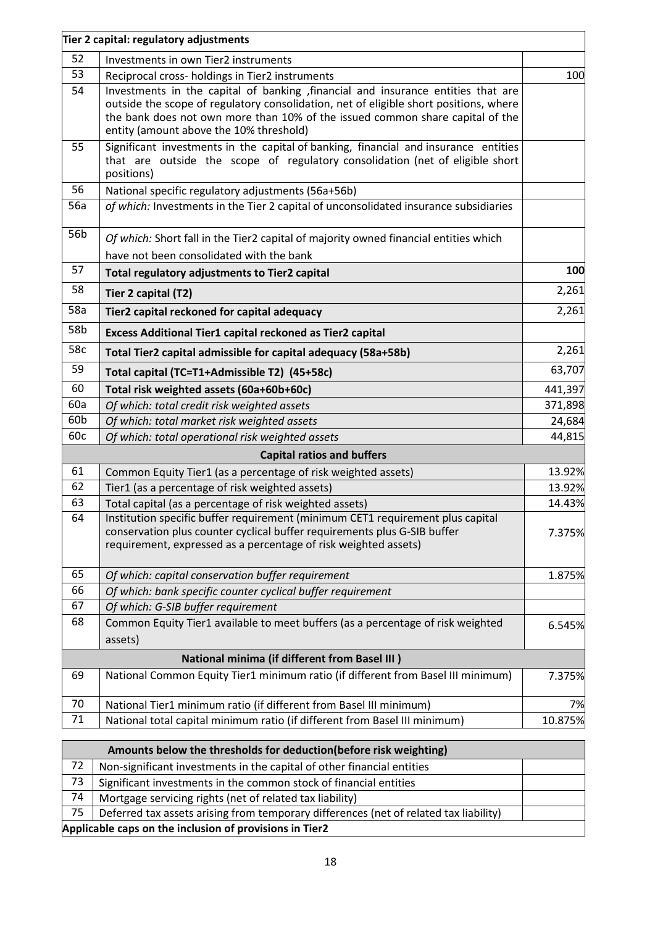|     | Tier 2 capital: regulatory adjustments                                                                                                                                                                                                                                                                 |         |
|-----|--------------------------------------------------------------------------------------------------------------------------------------------------------------------------------------------------------------------------------------------------------------------------------------------------------|---------|
| 52  | Investments in own Tier2 instruments                                                                                                                                                                                                                                                                   |         |
| 53  | Reciprocal cross- holdings in Tier2 instruments                                                                                                                                                                                                                                                        | 100     |
| 54  | Investments in the capital of banking , financial and insurance entities that are<br>outside the scope of regulatory consolidation, net of eligible short positions, where<br>the bank does not own more than 10% of the issued common share capital of the<br>entity (amount above the 10% threshold) |         |
| 55  | Significant investments in the capital of banking, financial and insurance entities<br>that are outside the scope of regulatory consolidation (net of eligible short<br>positions)                                                                                                                     |         |
| 56  | National specific regulatory adjustments (56a+56b)                                                                                                                                                                                                                                                     |         |
| 56a | of which: Investments in the Tier 2 capital of unconsolidated insurance subsidiaries                                                                                                                                                                                                                   |         |
| 56b | Of which: Short fall in the Tier2 capital of majority owned financial entities which<br>have not been consolidated with the bank                                                                                                                                                                       |         |
| 57  | Total regulatory adjustments to Tier2 capital                                                                                                                                                                                                                                                          | 100     |
| 58  | Tier 2 capital (T2)                                                                                                                                                                                                                                                                                    | 2,261   |
| 58a | Tier2 capital reckoned for capital adequacy                                                                                                                                                                                                                                                            | 2,261   |
| 58b | Excess Additional Tier1 capital reckoned as Tier2 capital                                                                                                                                                                                                                                              |         |
| 58c | Total Tier2 capital admissible for capital adequacy (58a+58b)                                                                                                                                                                                                                                          | 2,261   |
| 59  | Total capital (TC=T1+Admissible T2) (45+58c)                                                                                                                                                                                                                                                           | 63,707  |
| 60  | Total risk weighted assets (60a+60b+60c)                                                                                                                                                                                                                                                               | 441,397 |
| 60a | Of which: total credit risk weighted assets                                                                                                                                                                                                                                                            | 371,898 |
| 60b | Of which: total market risk weighted assets                                                                                                                                                                                                                                                            | 24,684  |
| 60c | Of which: total operational risk weighted assets                                                                                                                                                                                                                                                       | 44,815  |
|     | <b>Capital ratios and buffers</b>                                                                                                                                                                                                                                                                      |         |
| 61  | Common Equity Tier1 (as a percentage of risk weighted assets)                                                                                                                                                                                                                                          | 13.92%  |
| 62  | Tier1 (as a percentage of risk weighted assets)                                                                                                                                                                                                                                                        | 13.92%  |
| 63  | Total capital (as a percentage of risk weighted assets)                                                                                                                                                                                                                                                | 14.43%  |
| 64  | Institution specific buffer requirement (minimum CET1 requirement plus capital<br>conservation plus counter cyclical buffer requirements plus G-SIB buffer<br>requirement, expressed as a percentage of risk weighted assets)                                                                          | 7.375%  |
| 65  | Of which: capital conservation buffer requirement                                                                                                                                                                                                                                                      | 1.875%  |
| 66  | Of which: bank specific counter cyclical buffer requirement                                                                                                                                                                                                                                            |         |
| 67  | Of which: G-SIB buffer requirement                                                                                                                                                                                                                                                                     |         |
| 68  | Common Equity Tier1 available to meet buffers (as a percentage of risk weighted<br>assets)                                                                                                                                                                                                             | 6.545%  |
|     | <b>National minima (if different from Basel III)</b>                                                                                                                                                                                                                                                   |         |
| 69  | National Common Equity Tier1 minimum ratio (if different from Basel III minimum)                                                                                                                                                                                                                       | 7.375%  |
| 70  | National Tier1 minimum ratio (if different from Basel III minimum)                                                                                                                                                                                                                                     | 7%      |
| 71  | National total capital minimum ratio (if different from Basel III minimum)                                                                                                                                                                                                                             | 10.875% |

|                                                         | Amounts below the thresholds for deduction (before risk weighting)                    |  |
|---------------------------------------------------------|---------------------------------------------------------------------------------------|--|
| 72                                                      | Non-significant investments in the capital of other financial entities                |  |
| 73                                                      | Significant investments in the common stock of financial entities                     |  |
| 74                                                      | Mortgage servicing rights (net of related tax liability)                              |  |
| 75                                                      | Deferred tax assets arising from temporary differences (net of related tax liability) |  |
| Applicable caps on the inclusion of provisions in Tier2 |                                                                                       |  |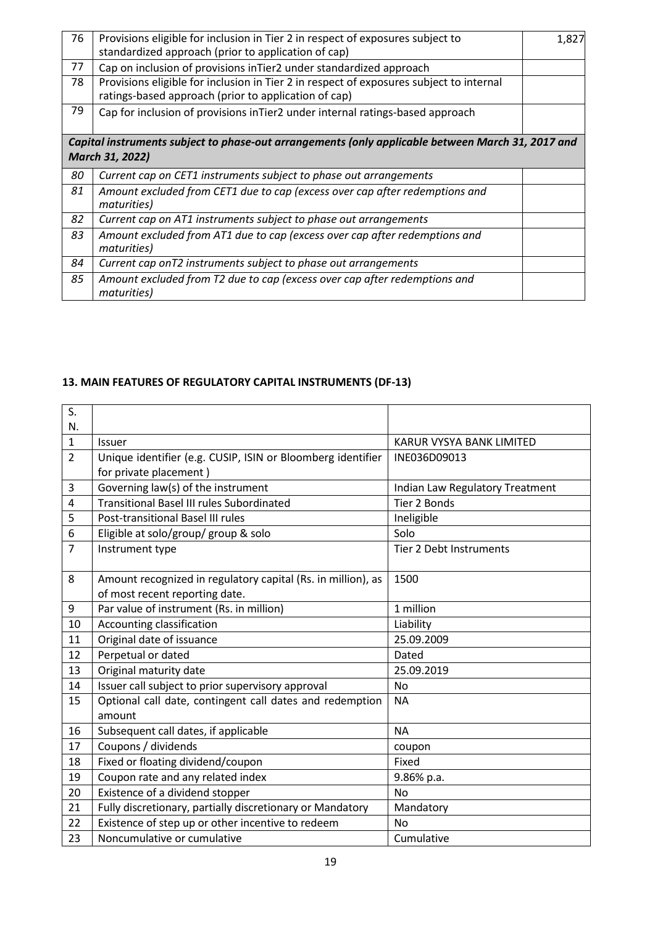| 76 | Provisions eligible for inclusion in Tier 2 in respect of exposures subject to<br>standardized approach (prior to application of cap)           | 1,827 |
|----|-------------------------------------------------------------------------------------------------------------------------------------------------|-------|
| 77 | Cap on inclusion of provisions in Tier2 under standardized approach                                                                             |       |
| 78 | Provisions eligible for inclusion in Tier 2 in respect of exposures subject to internal<br>ratings-based approach (prior to application of cap) |       |
| 79 | Cap for inclusion of provisions inTier2 under internal ratings-based approach                                                                   |       |
|    | Capital instruments subject to phase-out arrangements (only applicable between March 31, 2017 and<br>March 31, 2022)                            |       |
| 80 | Current cap on CET1 instruments subject to phase out arrangements                                                                               |       |
| 81 | Amount excluded from CET1 due to cap (excess over cap after redemptions and<br>maturities)                                                      |       |
| 82 | Current cap on AT1 instruments subject to phase out arrangements                                                                                |       |
| 83 | Amount excluded from AT1 due to cap (excess over cap after redemptions and<br>maturities)                                                       |       |
| 84 | Current cap onT2 instruments subject to phase out arrangements                                                                                  |       |
| 85 | Amount excluded from T2 due to cap (excess over cap after redemptions and<br><i>maturities</i> )                                                |       |

# **13. MAIN FEATURES OF REGULATORY CAPITAL INSTRUMENTS (DF-13)**

| S.             |                                                              |                                 |
|----------------|--------------------------------------------------------------|---------------------------------|
| N.             |                                                              |                                 |
| $\mathbf 1$    | <b>Issuer</b>                                                | <b>KARUR VYSYA BANK LIMITED</b> |
| $\overline{2}$ | Unique identifier (e.g. CUSIP, ISIN or Bloomberg identifier  | INE036D09013                    |
|                | for private placement)                                       |                                 |
| 3              | Governing law(s) of the instrument                           | Indian Law Regulatory Treatment |
| 4              | <b>Transitional Basel III rules Subordinated</b>             | Tier 2 Bonds                    |
| 5              | Post-transitional Basel III rules                            | Ineligible                      |
| 6              | Eligible at solo/group/ group & solo                         | Solo                            |
| $\overline{7}$ | Instrument type                                              | <b>Tier 2 Debt Instruments</b>  |
|                |                                                              |                                 |
| 8              | Amount recognized in regulatory capital (Rs. in million), as | 1500                            |
|                | of most recent reporting date.                               |                                 |
| 9              | Par value of instrument (Rs. in million)                     | 1 million                       |
| 10             | Accounting classification                                    | Liability                       |
| 11             | Original date of issuance                                    | 25.09.2009                      |
| 12             | Perpetual or dated                                           | Dated                           |
| 13             | Original maturity date                                       | 25.09.2019                      |
| 14             | Issuer call subject to prior supervisory approval            | No                              |
| 15             | Optional call date, contingent call dates and redemption     | <b>NA</b>                       |
|                | amount                                                       |                                 |
| 16             | Subsequent call dates, if applicable                         | <b>NA</b>                       |
| 17             | Coupons / dividends                                          | coupon                          |
| 18             | Fixed or floating dividend/coupon                            | Fixed                           |
| 19             | Coupon rate and any related index                            | 9.86% p.a.                      |
| 20             | Existence of a dividend stopper                              | <b>No</b>                       |
| 21             | Fully discretionary, partially discretionary or Mandatory    | Mandatory                       |
| 22             | Existence of step up or other incentive to redeem            | N <sub>0</sub>                  |
| 23             | Noncumulative or cumulative                                  | Cumulative                      |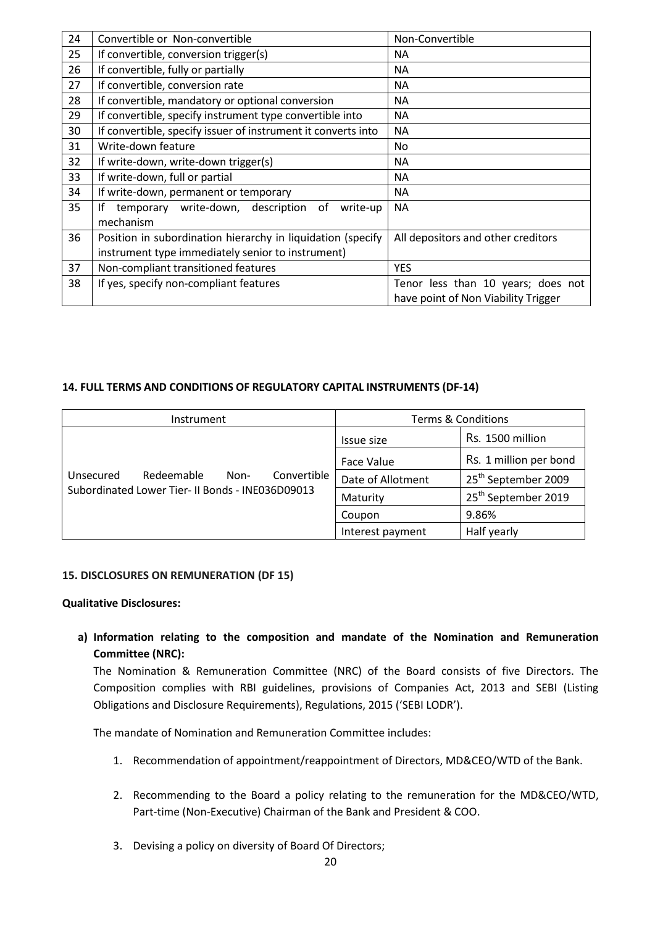| 24 | Convertible or Non-convertible                                | Non-Convertible                     |  |
|----|---------------------------------------------------------------|-------------------------------------|--|
| 25 | If convertible, conversion trigger(s)                         | <b>NA</b>                           |  |
| 26 | If convertible, fully or partially                            | <b>NA</b>                           |  |
| 27 | If convertible, conversion rate                               | NA.                                 |  |
| 28 | If convertible, mandatory or optional conversion              | NA.                                 |  |
| 29 | If convertible, specify instrument type convertible into      | NA.                                 |  |
| 30 | If convertible, specify issuer of instrument it converts into | <b>NA</b>                           |  |
| 31 | Write-down feature                                            | No.                                 |  |
| 32 | If write-down, write-down trigger(s)                          | NA.                                 |  |
| 33 | If write-down, full or partial                                | NA.                                 |  |
| 34 | If write-down, permanent or temporary                         | NA.                                 |  |
| 35 | temporary write-down, description<br>Ιf<br>0f<br>write-up     | <b>NA</b>                           |  |
|    | mechanism                                                     |                                     |  |
| 36 | Position in subordination hierarchy in liquidation (specify   | All depositors and other creditors  |  |
|    | instrument type immediately senior to instrument)             |                                     |  |
| 37 | Non-compliant transitioned features                           | <b>YES</b>                          |  |
| 38 | If yes, specify non-compliant features                        | Tenor less than 10 years; does not  |  |
|    |                                                               | have point of Non Viability Trigger |  |

## **14. FULL TERMS AND CONDITIONS OF REGULATORY CAPITAL INSTRUMENTS (DF-14)**

| Instrument                                       | <b>Terms &amp; Conditions</b> |                                 |
|--------------------------------------------------|-------------------------------|---------------------------------|
|                                                  | Issue size                    | Rs. 1500 million                |
|                                                  | Face Value                    | Rs. 1 million per bond          |
| Convertible<br>Redeemable<br>Unsecured<br>Non-   | Date of Allotment             | 25 <sup>th</sup> September 2009 |
| Subordinated Lower Tier- II Bonds - INE036D09013 | Maturity                      | 25 <sup>th</sup> September 2019 |
|                                                  | Coupon                        | 9.86%                           |
|                                                  | Interest payment              | Half yearly                     |

## **15. DISCLOSURES ON REMUNERATION (DF 15)**

## **Qualitative Disclosures:**

**a) Information relating to the composition and mandate of the Nomination and Remuneration Committee (NRC):**

The Nomination & Remuneration Committee (NRC) of the Board consists of five Directors. The Composition complies with RBI guidelines, provisions of Companies Act, 2013 and SEBI (Listing Obligations and Disclosure Requirements), Regulations, 2015 ('SEBI LODR').

The mandate of Nomination and Remuneration Committee includes:

- 1. Recommendation of appointment/reappointment of Directors, MD&CEO/WTD of the Bank.
- 2. Recommending to the Board a policy relating to the remuneration for the MD&CEO/WTD, Part-time (Non-Executive) Chairman of the Bank and President & COO.
- 3. Devising a policy on diversity of Board Of Directors;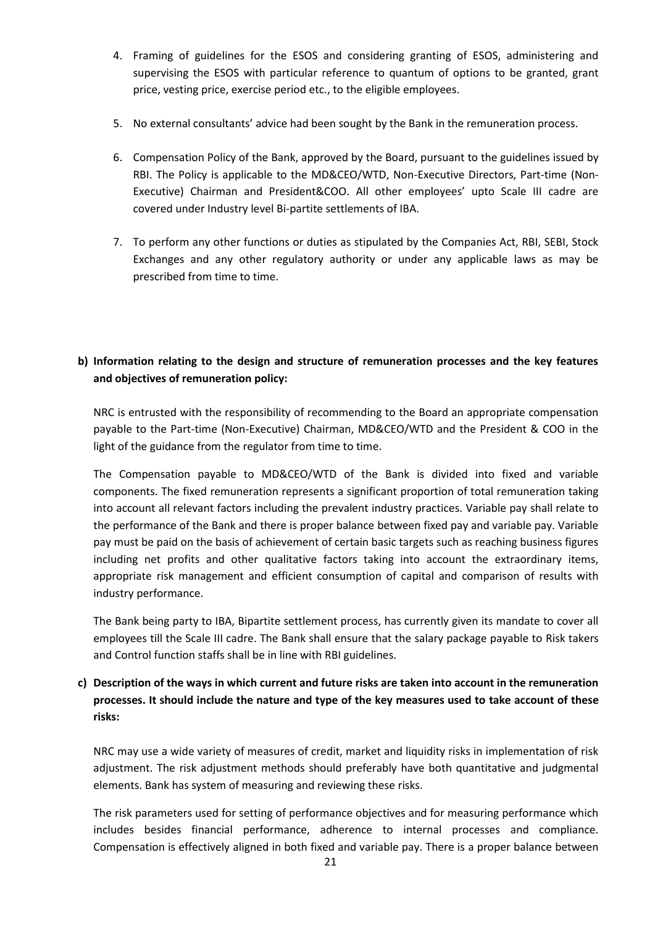- 4. Framing of guidelines for the ESOS and considering granting of ESOS, administering and supervising the ESOS with particular reference to quantum of options to be granted, grant price, vesting price, exercise period etc., to the eligible employees.
- 5. No external consultants' advice had been sought by the Bank in the remuneration process.
- 6. Compensation Policy of the Bank, approved by the Board, pursuant to the guidelines issued by RBI. The Policy is applicable to the MD&CEO/WTD, Non-Executive Directors, Part-time (Non-Executive) Chairman and President&COO. All other employees' upto Scale III cadre are covered under Industry level Bi-partite settlements of IBA.
- 7. To perform any other functions or duties as stipulated by the Companies Act, RBI, SEBI, Stock Exchanges and any other regulatory authority or under any applicable laws as may be prescribed from time to time.

# **b) Information relating to the design and structure of remuneration processes and the key features and objectives of remuneration policy:**

NRC is entrusted with the responsibility of recommending to the Board an appropriate compensation payable to the Part-time (Non-Executive) Chairman, MD&CEO/WTD and the President & COO in the light of the guidance from the regulator from time to time.

The Compensation payable to MD&CEO/WTD of the Bank is divided into fixed and variable components. The fixed remuneration represents a significant proportion of total remuneration taking into account all relevant factors including the prevalent industry practices. Variable pay shall relate to the performance of the Bank and there is proper balance between fixed pay and variable pay. Variable pay must be paid on the basis of achievement of certain basic targets such as reaching business figures including net profits and other qualitative factors taking into account the extraordinary items, appropriate risk management and efficient consumption of capital and comparison of results with industry performance.

The Bank being party to IBA, Bipartite settlement process, has currently given its mandate to cover all employees till the Scale III cadre. The Bank shall ensure that the salary package payable to Risk takers and Control function staffs shall be in line with RBI guidelines.

# **c) Description of the ways in which current and future risks are taken into account in the remuneration processes. It should include the nature and type of the key measures used to take account of these risks:**

NRC may use a wide variety of measures of credit, market and liquidity risks in implementation of risk adjustment. The risk adjustment methods should preferably have both quantitative and judgmental elements. Bank has system of measuring and reviewing these risks.

The risk parameters used for setting of performance objectives and for measuring performance which includes besides financial performance, adherence to internal processes and compliance. Compensation is effectively aligned in both fixed and variable pay. There is a proper balance between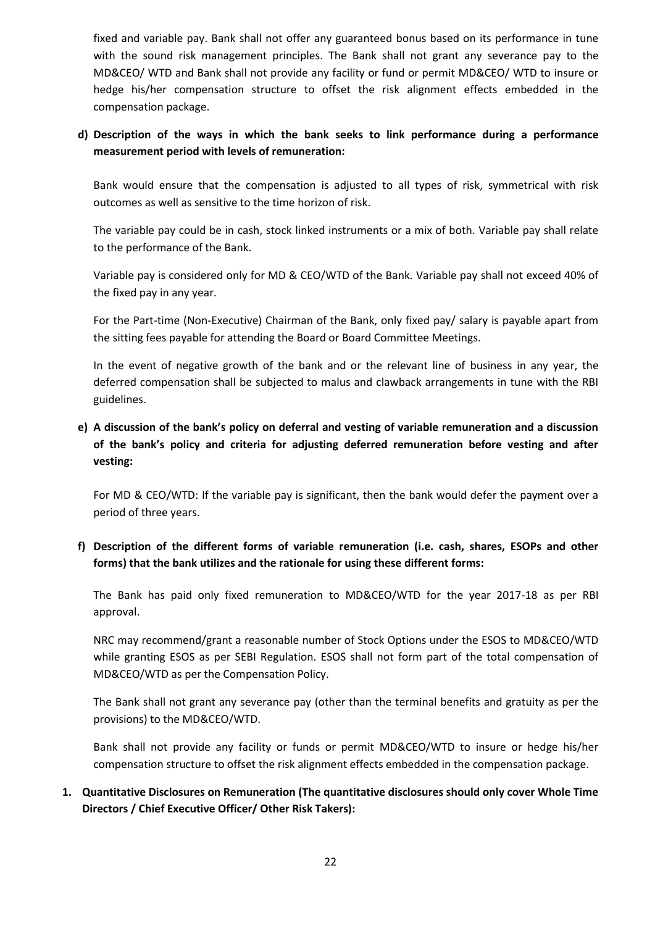fixed and variable pay. Bank shall not offer any guaranteed bonus based on its performance in tune with the sound risk management principles. The Bank shall not grant any severance pay to the MD&CEO/ WTD and Bank shall not provide any facility or fund or permit MD&CEO/ WTD to insure or hedge his/her compensation structure to offset the risk alignment effects embedded in the compensation package.

## **d) Description of the ways in which the bank seeks to link performance during a performance measurement period with levels of remuneration:**

Bank would ensure that the compensation is adjusted to all types of risk, symmetrical with risk outcomes as well as sensitive to the time horizon of risk.

The variable pay could be in cash, stock linked instruments or a mix of both. Variable pay shall relate to the performance of the Bank.

Variable pay is considered only for MD & CEO/WTD of the Bank. Variable pay shall not exceed 40% of the fixed pay in any year.

For the Part-time (Non-Executive) Chairman of the Bank, only fixed pay/ salary is payable apart from the sitting fees payable for attending the Board or Board Committee Meetings.

In the event of negative growth of the bank and or the relevant line of business in any year, the deferred compensation shall be subjected to malus and clawback arrangements in tune with the RBI guidelines.

# **e) A discussion of the bank's policy on deferral and vesting of variable remuneration and a discussion of the bank's policy and criteria for adjusting deferred remuneration before vesting and after vesting:**

For MD & CEO/WTD: If the variable pay is significant, then the bank would defer the payment over a period of three years.

## **f) Description of the different forms of variable remuneration (i.e. cash, shares, ESOPs and other forms) that the bank utilizes and the rationale for using these different forms:**

The Bank has paid only fixed remuneration to MD&CEO/WTD for the year 2017-18 as per RBI approval.

NRC may recommend/grant a reasonable number of Stock Options under the ESOS to MD&CEO/WTD while granting ESOS as per SEBI Regulation. ESOS shall not form part of the total compensation of MD&CEO/WTD as per the Compensation Policy.

The Bank shall not grant any severance pay (other than the terminal benefits and gratuity as per the provisions) to the MD&CEO/WTD.

Bank shall not provide any facility or funds or permit MD&CEO/WTD to insure or hedge his/her compensation structure to offset the risk alignment effects embedded in the compensation package.

## **1. Quantitative Disclosures on Remuneration (The quantitative disclosures should only cover Whole Time Directors / Chief Executive Officer/ Other Risk Takers):**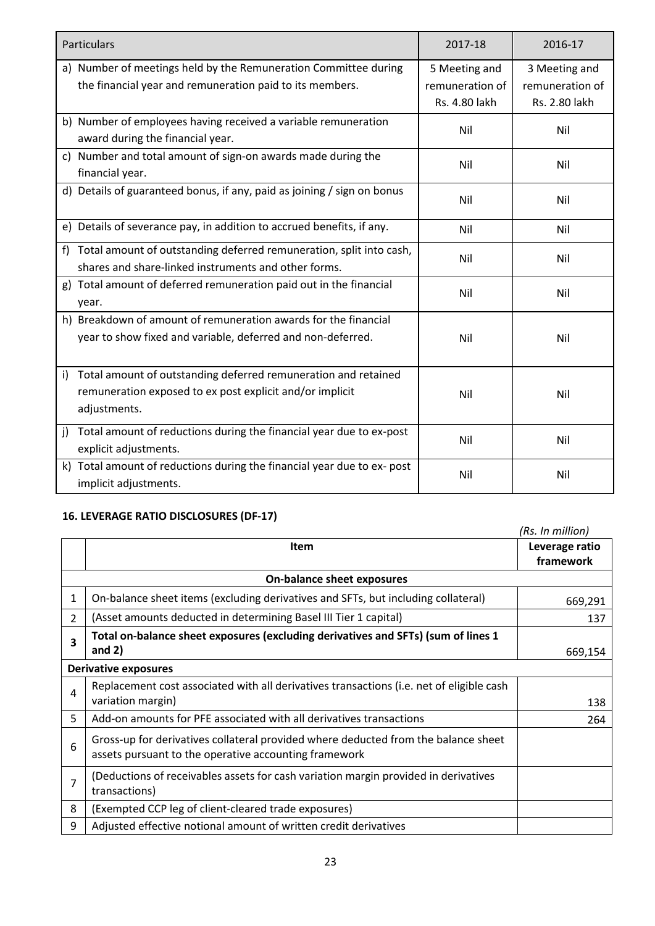| Particulars                                                                                                                                      | 2017-18                                           | 2016-17                                           |
|--------------------------------------------------------------------------------------------------------------------------------------------------|---------------------------------------------------|---------------------------------------------------|
| a) Number of meetings held by the Remuneration Committee during<br>the financial year and remuneration paid to its members.                      | 5 Meeting and<br>remuneration of<br>Rs. 4.80 lakh | 3 Meeting and<br>remuneration of<br>Rs. 2.80 lakh |
| b) Number of employees having received a variable remuneration<br>award during the financial year.                                               | Nil                                               | Nil                                               |
| c) Number and total amount of sign-on awards made during the<br>financial year.                                                                  | Nil                                               | Nil                                               |
| d) Details of guaranteed bonus, if any, paid as joining / sign on bonus                                                                          | Nil                                               | Nil                                               |
| e) Details of severance pay, in addition to accrued benefits, if any.                                                                            | Nil                                               | Nil                                               |
| f) Total amount of outstanding deferred remuneration, split into cash,<br>shares and share-linked instruments and other forms.                   | Nil                                               | Nil                                               |
| g) Total amount of deferred remuneration paid out in the financial<br>year.                                                                      | Nil                                               | Nil                                               |
| h) Breakdown of amount of remuneration awards for the financial<br>year to show fixed and variable, deferred and non-deferred.                   | Nil                                               | Nil                                               |
| Total amount of outstanding deferred remuneration and retained<br>i)<br>remuneration exposed to ex post explicit and/or implicit<br>adjustments. | Nil                                               | Nil                                               |
| Total amount of reductions during the financial year due to ex-post<br>j)<br>explicit adjustments.                                               | Nil                                               | Nil                                               |
| k) Total amount of reductions during the financial year due to ex-post<br>implicit adjustments.                                                  | Nil                                               | Nil                                               |

# **16. LEVERAGE RATIO DISCLOSURES (DF-17)**

|                |                                                                                                                                             | (Rs. In million)            |  |
|----------------|---------------------------------------------------------------------------------------------------------------------------------------------|-----------------------------|--|
|                | <b>Item</b>                                                                                                                                 | Leverage ratio<br>framework |  |
|                | <b>On-balance sheet exposures</b>                                                                                                           |                             |  |
| $\mathbf{1}$   | On-balance sheet items (excluding derivatives and SFTs, but including collateral)                                                           | 669,291                     |  |
| $\overline{2}$ | (Asset amounts deducted in determining Basel III Tier 1 capital)                                                                            | 137                         |  |
| 3              | Total on-balance sheet exposures (excluding derivatives and SFTs) (sum of lines 1                                                           |                             |  |
|                | and $2)$                                                                                                                                    | 669,154                     |  |
|                | <b>Derivative exposures</b>                                                                                                                 |                             |  |
| $\overline{4}$ | Replacement cost associated with all derivatives transactions (i.e. net of eligible cash                                                    |                             |  |
|                | variation margin)                                                                                                                           | 138                         |  |
| 5              | Add-on amounts for PFE associated with all derivatives transactions                                                                         | 264                         |  |
| 6              | Gross-up for derivatives collateral provided where deducted from the balance sheet<br>assets pursuant to the operative accounting framework |                             |  |
| $\overline{7}$ | (Deductions of receivables assets for cash variation margin provided in derivatives<br>transactions)                                        |                             |  |
| 8              | (Exempted CCP leg of client-cleared trade exposures)                                                                                        |                             |  |
| 9              | Adjusted effective notional amount of written credit derivatives                                                                            |                             |  |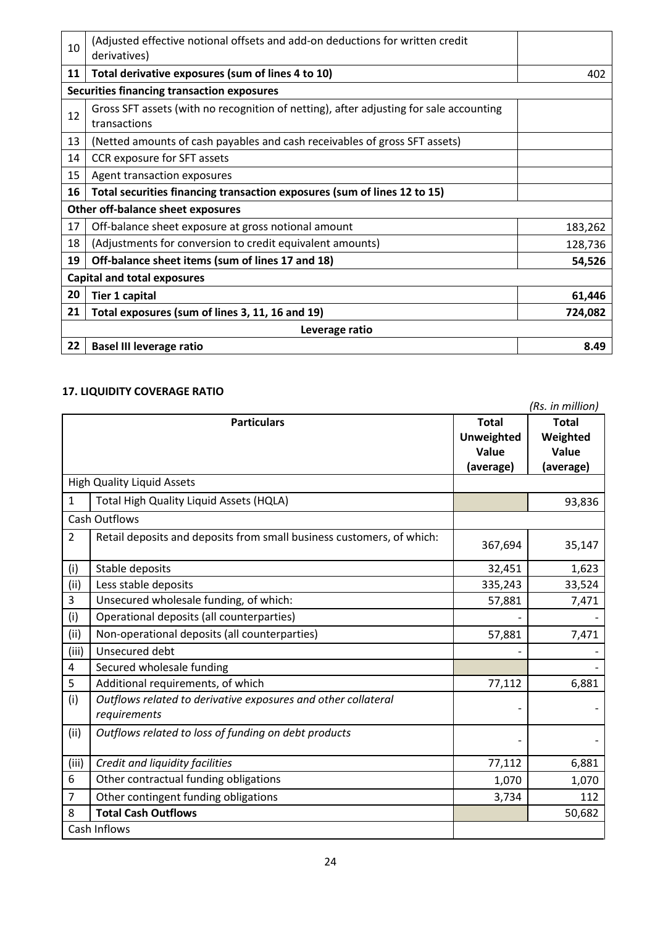| 10 | (Adjusted effective notional offsets and add-on deductions for written credit<br>derivatives)          |         |  |
|----|--------------------------------------------------------------------------------------------------------|---------|--|
| 11 | Total derivative exposures (sum of lines 4 to 10)                                                      | 402     |  |
|    | <b>Securities financing transaction exposures</b>                                                      |         |  |
| 12 | Gross SFT assets (with no recognition of netting), after adjusting for sale accounting<br>transactions |         |  |
| 13 | (Netted amounts of cash payables and cash receivables of gross SFT assets)                             |         |  |
| 14 | CCR exposure for SFT assets                                                                            |         |  |
| 15 | Agent transaction exposures                                                                            |         |  |
| 16 | Total securities financing transaction exposures (sum of lines 12 to 15)                               |         |  |
|    | Other off-balance sheet exposures                                                                      |         |  |
| 17 | Off-balance sheet exposure at gross notional amount                                                    | 183,262 |  |
| 18 | (Adjustments for conversion to credit equivalent amounts)                                              | 128,736 |  |
| 19 | Off-balance sheet items (sum of lines 17 and 18)                                                       | 54,526  |  |
|    | <b>Capital and total exposures</b>                                                                     |         |  |
| 20 | <b>Tier 1 capital</b>                                                                                  | 61,446  |  |
| 21 | Total exposures (sum of lines 3, 11, 16 and 19)                                                        | 724,082 |  |
|    | Leverage ratio                                                                                         |         |  |
| 22 | <b>Basel III leverage ratio</b>                                                                        | 8.49    |  |

# **17. LIQUIDITY COVERAGE RATIO**

|                |                                                                               |                   | (Rs. in million) |
|----------------|-------------------------------------------------------------------------------|-------------------|------------------|
|                | <b>Particulars</b>                                                            | <b>Total</b>      | <b>Total</b>     |
|                |                                                                               | <b>Unweighted</b> | Weighted         |
|                |                                                                               | Value             | Value            |
|                |                                                                               | (average)         | (average)        |
|                | <b>High Quality Liquid Assets</b>                                             |                   |                  |
| 1              | Total High Quality Liquid Assets (HQLA)                                       |                   | 93,836           |
|                | <b>Cash Outflows</b>                                                          |                   |                  |
| $\overline{2}$ | Retail deposits and deposits from small business customers, of which:         | 367,694           | 35,147           |
| (i)            | Stable deposits                                                               | 32,451            | 1,623            |
| (ii)           | Less stable deposits                                                          | 335,243           | 33,524           |
| 3              | Unsecured wholesale funding, of which:                                        | 57,881            | 7,471            |
| (i)            | Operational deposits (all counterparties)                                     |                   |                  |
| (ii)           | Non-operational deposits (all counterparties)                                 | 57,881            | 7,471            |
| (iii)          | Unsecured debt                                                                |                   |                  |
| 4              | Secured wholesale funding                                                     |                   |                  |
| 5              | Additional requirements, of which                                             | 77,112            | 6,881            |
| (i)            | Outflows related to derivative exposures and other collateral<br>requirements |                   |                  |
| (ii)           | Outflows related to loss of funding on debt products                          |                   |                  |
| (iii)          | Credit and liquidity facilities                                               | 77,112            | 6,881            |
| 6              | Other contractual funding obligations                                         | 1,070             | 1,070            |
| $\overline{7}$ | Other contingent funding obligations                                          | 3,734             | 112              |
| 8              | <b>Total Cash Outflows</b>                                                    |                   | 50,682           |
|                | Cash Inflows                                                                  |                   |                  |